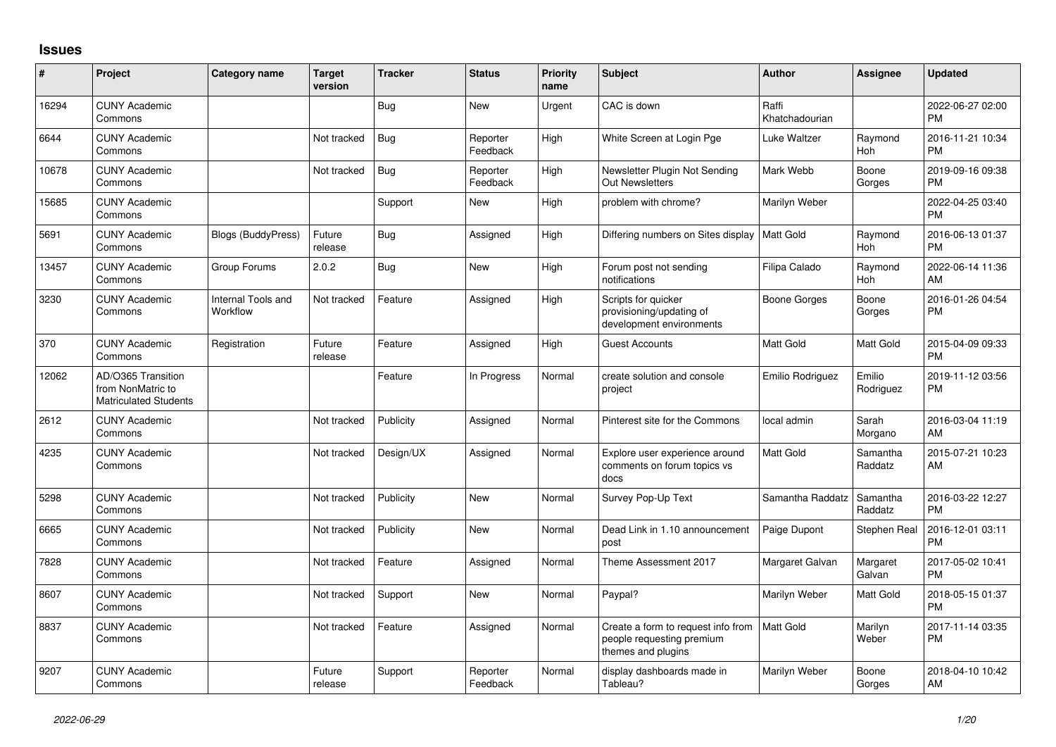## **Issues**

| ∦     | Project                                                                 | <b>Category name</b>           | <b>Target</b><br>version | <b>Tracker</b> | <b>Status</b>        | <b>Priority</b><br>name | <b>Subject</b>                                                                        | Author                  | <b>Assignee</b>     | <b>Updated</b>                |
|-------|-------------------------------------------------------------------------|--------------------------------|--------------------------|----------------|----------------------|-------------------------|---------------------------------------------------------------------------------------|-------------------------|---------------------|-------------------------------|
| 16294 | <b>CUNY Academic</b><br>Commons                                         |                                |                          | Bug            | <b>New</b>           | Urgent                  | CAC is down                                                                           | Raffi<br>Khatchadourian |                     | 2022-06-27 02:00<br><b>PM</b> |
| 6644  | <b>CUNY Academic</b><br>Commons                                         |                                | Not tracked              | <b>Bug</b>     | Reporter<br>Feedback | High                    | White Screen at Login Pge                                                             | Luke Waltzer            | Raymond<br>Hoh      | 2016-11-21 10:34<br><b>PM</b> |
| 10678 | <b>CUNY Academic</b><br>Commons                                         |                                | Not tracked              | <b>Bug</b>     | Reporter<br>Feedback | High                    | Newsletter Plugin Not Sending<br><b>Out Newsletters</b>                               | Mark Webb               | Boone<br>Gorges     | 2019-09-16 09:38<br><b>PM</b> |
| 15685 | <b>CUNY Academic</b><br>Commons                                         |                                |                          | Support        | <b>New</b>           | High                    | problem with chrome?                                                                  | Marilyn Weber           |                     | 2022-04-25 03:40<br><b>PM</b> |
| 5691  | <b>CUNY Academic</b><br>Commons                                         | <b>Blogs (BuddyPress)</b>      | Future<br>release        | <b>Bug</b>     | Assigned             | High                    | Differing numbers on Sites display                                                    | <b>Matt Gold</b>        | Raymond<br>Hoh      | 2016-06-13 01:37<br><b>PM</b> |
| 13457 | <b>CUNY Academic</b><br>Commons                                         | Group Forums                   | 2.0.2                    | Bug            | <b>New</b>           | High                    | Forum post not sending<br>notifications                                               | Filipa Calado           | Raymond<br>Hoh      | 2022-06-14 11:36<br>AM        |
| 3230  | <b>CUNY Academic</b><br>Commons                                         | Internal Tools and<br>Workflow | Not tracked              | Feature        | Assigned             | High                    | Scripts for quicker<br>provisioning/updating of<br>development environments           | Boone Gorges            | Boone<br>Gorges     | 2016-01-26 04:54<br><b>PM</b> |
| 370   | <b>CUNY Academic</b><br>Commons                                         | Registration                   | Future<br>release        | Feature        | Assigned             | High                    | <b>Guest Accounts</b>                                                                 | <b>Matt Gold</b>        | Matt Gold           | 2015-04-09 09:33<br><b>PM</b> |
| 12062 | AD/O365 Transition<br>from NonMatric to<br><b>Matriculated Students</b> |                                |                          | Feature        | In Progress          | Normal                  | create solution and console<br>project                                                | Emilio Rodriguez        | Emilio<br>Rodriguez | 2019-11-12 03:56<br>PM        |
| 2612  | <b>CUNY Academic</b><br>Commons                                         |                                | Not tracked              | Publicity      | Assigned             | Normal                  | Pinterest site for the Commons                                                        | local admin             | Sarah<br>Morgano    | 2016-03-04 11:19<br>AM        |
| 4235  | <b>CUNY Academic</b><br>Commons                                         |                                | Not tracked              | Design/UX      | Assigned             | Normal                  | Explore user experience around<br>comments on forum topics vs<br>docs                 | <b>Matt Gold</b>        | Samantha<br>Raddatz | 2015-07-21 10:23<br>AM        |
| 5298  | <b>CUNY Academic</b><br>Commons                                         |                                | Not tracked              | Publicity      | New                  | Normal                  | Survey Pop-Up Text                                                                    | Samantha Raddatz        | Samantha<br>Raddatz | 2016-03-22 12:27<br><b>PM</b> |
| 6665  | <b>CUNY Academic</b><br>Commons                                         |                                | Not tracked              | Publicity      | <b>New</b>           | Normal                  | Dead Link in 1.10 announcement<br>post                                                | Paige Dupont            | Stephen Real        | 2016-12-01 03:11<br>PM        |
| 7828  | <b>CUNY Academic</b><br>Commons                                         |                                | Not tracked              | Feature        | Assigned             | Normal                  | Theme Assessment 2017                                                                 | Margaret Galvan         | Margaret<br>Galvan  | 2017-05-02 10:41<br><b>PM</b> |
| 8607  | <b>CUNY Academic</b><br>Commons                                         |                                | Not tracked              | Support        | <b>New</b>           | Normal                  | Paypal?                                                                               | Marilyn Weber           | Matt Gold           | 2018-05-15 01:37<br><b>PM</b> |
| 8837  | <b>CUNY Academic</b><br>Commons                                         |                                | Not tracked              | Feature        | Assigned             | Normal                  | Create a form to request info from<br>people requesting premium<br>themes and plugins | <b>Matt Gold</b>        | Marilyn<br>Weber    | 2017-11-14 03:35<br>PM        |
| 9207  | <b>CUNY Academic</b><br>Commons                                         |                                | Future<br>release        | Support        | Reporter<br>Feedback | Normal                  | display dashboards made in<br>Tableau?                                                | Marilyn Weber           | Boone<br>Gorges     | 2018-04-10 10:42<br>AM        |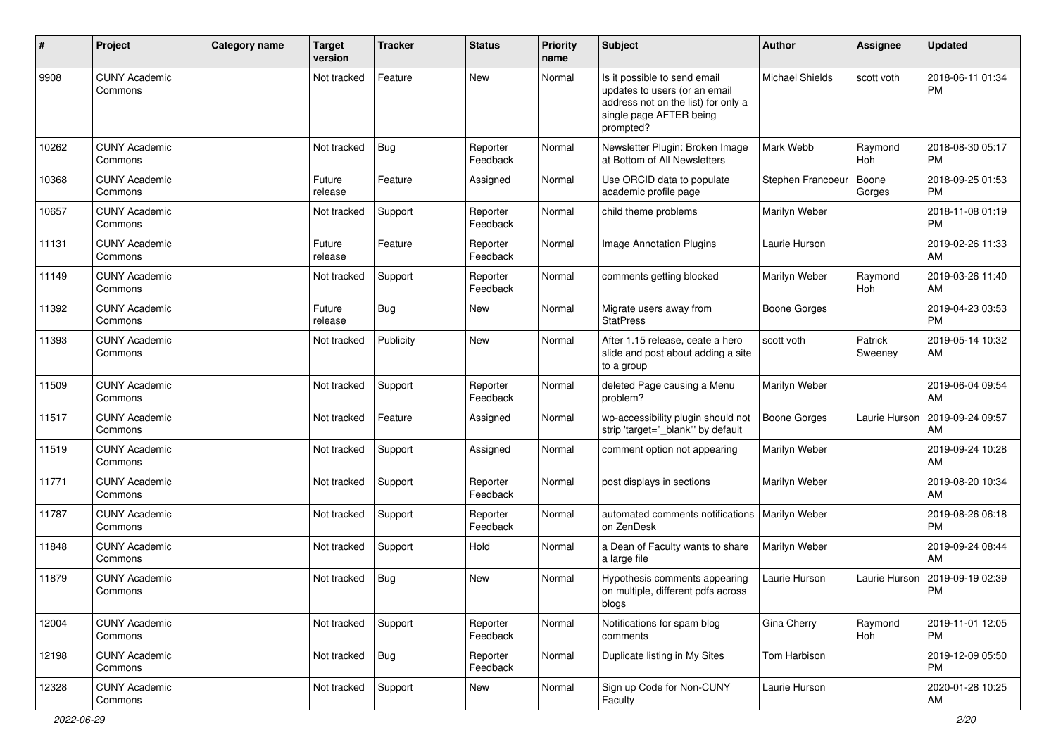| #     | Project                         | <b>Category name</b> | <b>Target</b><br>version | <b>Tracker</b> | <b>Status</b>        | <b>Priority</b><br>name | <b>Subject</b>                                                                                                                               | Author                 | <b>Assignee</b>    | <b>Updated</b>                |
|-------|---------------------------------|----------------------|--------------------------|----------------|----------------------|-------------------------|----------------------------------------------------------------------------------------------------------------------------------------------|------------------------|--------------------|-------------------------------|
| 9908  | <b>CUNY Academic</b><br>Commons |                      | Not tracked              | Feature        | New                  | Normal                  | Is it possible to send email<br>updates to users (or an email<br>address not on the list) for only a<br>single page AFTER being<br>prompted? | <b>Michael Shields</b> | scott voth         | 2018-06-11 01:34<br>PM        |
| 10262 | <b>CUNY Academic</b><br>Commons |                      | Not tracked              | Bug            | Reporter<br>Feedback | Normal                  | Newsletter Plugin: Broken Image<br>at Bottom of All Newsletters                                                                              | Mark Webb              | Raymond<br>Hoh     | 2018-08-30 05:17<br><b>PM</b> |
| 10368 | <b>CUNY Academic</b><br>Commons |                      | Future<br>release        | Feature        | Assigned             | Normal                  | Use ORCID data to populate<br>academic profile page                                                                                          | Stephen Francoeur      | Boone<br>Gorges    | 2018-09-25 01:53<br><b>PM</b> |
| 10657 | <b>CUNY Academic</b><br>Commons |                      | Not tracked              | Support        | Reporter<br>Feedback | Normal                  | child theme problems                                                                                                                         | Marilyn Weber          |                    | 2018-11-08 01:19<br><b>PM</b> |
| 11131 | <b>CUNY Academic</b><br>Commons |                      | Future<br>release        | Feature        | Reporter<br>Feedback | Normal                  | Image Annotation Plugins                                                                                                                     | Laurie Hurson          |                    | 2019-02-26 11:33<br>AM        |
| 11149 | <b>CUNY Academic</b><br>Commons |                      | Not tracked              | Support        | Reporter<br>Feedback | Normal                  | comments getting blocked                                                                                                                     | Marilyn Weber          | Raymond<br>Hoh     | 2019-03-26 11:40<br>AM        |
| 11392 | <b>CUNY Academic</b><br>Commons |                      | Future<br>release        | Bug            | New                  | Normal                  | Migrate users away from<br><b>StatPress</b>                                                                                                  | <b>Boone Gorges</b>    |                    | 2019-04-23 03:53<br><b>PM</b> |
| 11393 | <b>CUNY Academic</b><br>Commons |                      | Not tracked              | Publicity      | New                  | Normal                  | After 1.15 release, ceate a hero<br>slide and post about adding a site<br>to a group                                                         | scott voth             | Patrick<br>Sweeney | 2019-05-14 10:32<br>AM        |
| 11509 | <b>CUNY Academic</b><br>Commons |                      | Not tracked              | Support        | Reporter<br>Feedback | Normal                  | deleted Page causing a Menu<br>problem?                                                                                                      | Marilyn Weber          |                    | 2019-06-04 09:54<br>AM        |
| 11517 | <b>CUNY Academic</b><br>Commons |                      | Not tracked              | Feature        | Assigned             | Normal                  | wp-accessibility plugin should not<br>strip 'target="_blank" by default                                                                      | <b>Boone Gorges</b>    | Laurie Hurson      | 2019-09-24 09:57<br>AM        |
| 11519 | <b>CUNY Academic</b><br>Commons |                      | Not tracked              | Support        | Assigned             | Normal                  | comment option not appearing                                                                                                                 | Marilyn Weber          |                    | 2019-09-24 10:28<br>AM        |
| 11771 | <b>CUNY Academic</b><br>Commons |                      | Not tracked              | Support        | Reporter<br>Feedback | Normal                  | post displays in sections                                                                                                                    | Marilyn Weber          |                    | 2019-08-20 10:34<br>AM        |
| 11787 | <b>CUNY Academic</b><br>Commons |                      | Not tracked              | Support        | Reporter<br>Feedback | Normal                  | automated comments notifications<br>on ZenDesk                                                                                               | Marilyn Weber          |                    | 2019-08-26 06:18<br><b>PM</b> |
| 11848 | <b>CUNY Academic</b><br>Commons |                      | Not tracked              | Support        | Hold                 | Normal                  | a Dean of Faculty wants to share<br>a large file                                                                                             | Marilyn Weber          |                    | 2019-09-24 08:44<br>AM        |
| 11879 | CUNY Academic<br>Commons        |                      | Not tracked              | Bug            | <b>New</b>           | Normal                  | Hypothesis comments appearing<br>on multiple, different pdfs across<br>blogs                                                                 | Laurie Hurson          | Laurie Hurson      | 2019-09-19 02:39<br><b>PM</b> |
| 12004 | <b>CUNY Academic</b><br>Commons |                      | Not tracked              | Support        | Reporter<br>Feedback | Normal                  | Notifications for spam blog<br>comments                                                                                                      | Gina Cherry            | Raymond<br>Hoh     | 2019-11-01 12:05<br>PM        |
| 12198 | <b>CUNY Academic</b><br>Commons |                      | Not tracked              | Bug            | Reporter<br>Feedback | Normal                  | Duplicate listing in My Sites                                                                                                                | Tom Harbison           |                    | 2019-12-09 05:50<br><b>PM</b> |
| 12328 | <b>CUNY Academic</b><br>Commons |                      | Not tracked              | Support        | New                  | Normal                  | Sign up Code for Non-CUNY<br>Faculty                                                                                                         | Laurie Hurson          |                    | 2020-01-28 10:25<br>AM        |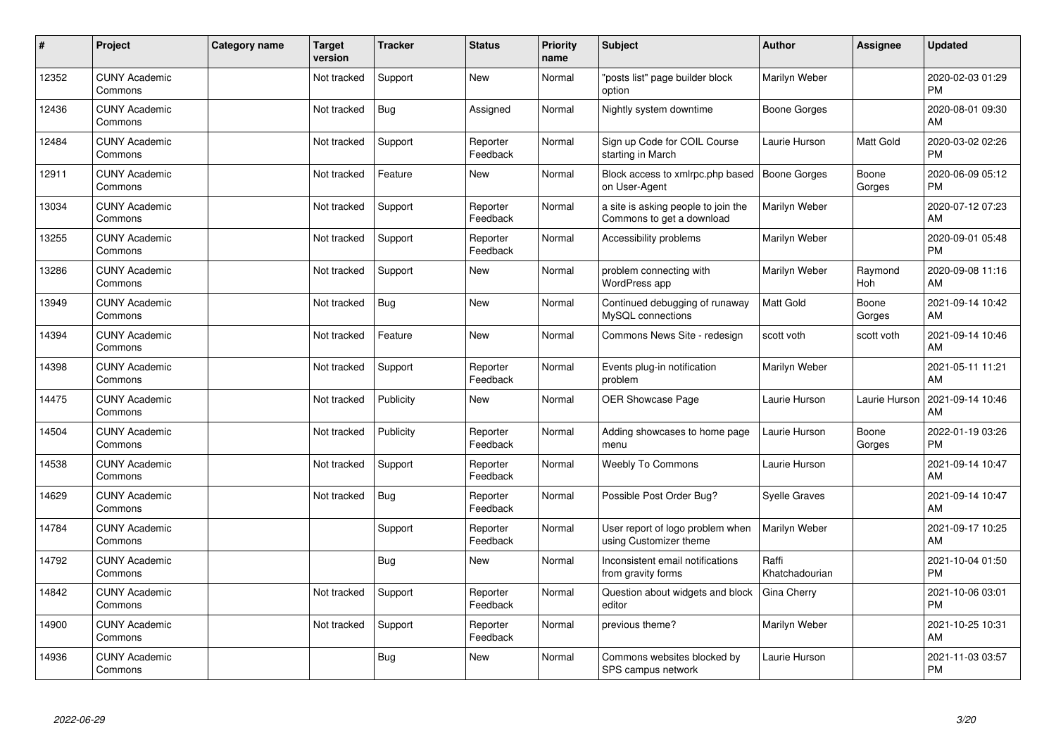| #     | Project                         | <b>Category name</b> | <b>Target</b><br>version | <b>Tracker</b> | <b>Status</b>        | <b>Priority</b><br>name | <b>Subject</b>                                                   | <b>Author</b>           | <b>Assignee</b>       | <b>Updated</b>                |
|-------|---------------------------------|----------------------|--------------------------|----------------|----------------------|-------------------------|------------------------------------------------------------------|-------------------------|-----------------------|-------------------------------|
| 12352 | <b>CUNY Academic</b><br>Commons |                      | Not tracked              | Support        | <b>New</b>           | Normal                  | 'posts list" page builder block<br>option                        | Marilyn Weber           |                       | 2020-02-03 01:29<br><b>PM</b> |
| 12436 | <b>CUNY Academic</b><br>Commons |                      | Not tracked              | <b>Bug</b>     | Assigned             | Normal                  | Nightly system downtime                                          | Boone Gorges            |                       | 2020-08-01 09:30<br>AM        |
| 12484 | <b>CUNY Academic</b><br>Commons |                      | Not tracked              | Support        | Reporter<br>Feedback | Normal                  | Sign up Code for COIL Course<br>starting in March                | Laurie Hurson           | <b>Matt Gold</b>      | 2020-03-02 02:26<br><b>PM</b> |
| 12911 | <b>CUNY Academic</b><br>Commons |                      | Not tracked              | Feature        | New                  | Normal                  | Block access to xmlrpc.php based<br>on User-Agent                | Boone Gorges            | Boone<br>Gorges       | 2020-06-09 05:12<br><b>PM</b> |
| 13034 | <b>CUNY Academic</b><br>Commons |                      | Not tracked              | Support        | Reporter<br>Feedback | Normal                  | a site is asking people to join the<br>Commons to get a download | Marilyn Weber           |                       | 2020-07-12 07:23<br>AM        |
| 13255 | <b>CUNY Academic</b><br>Commons |                      | Not tracked              | Support        | Reporter<br>Feedback | Normal                  | <b>Accessibility problems</b>                                    | Marilyn Weber           |                       | 2020-09-01 05:48<br>PM        |
| 13286 | <b>CUNY Academic</b><br>Commons |                      | Not tracked              | Support        | New                  | Normal                  | problem connecting with<br>WordPress app                         | Marilyn Weber           | Raymond<br><b>Hoh</b> | 2020-09-08 11:16<br>AM        |
| 13949 | <b>CUNY Academic</b><br>Commons |                      | Not tracked              | <b>Bug</b>     | <b>New</b>           | Normal                  | Continued debugging of runaway<br>MvSQL connections              | Matt Gold               | Boone<br>Gorges       | 2021-09-14 10:42<br>AM        |
| 14394 | <b>CUNY Academic</b><br>Commons |                      | Not tracked              | Feature        | <b>New</b>           | Normal                  | Commons News Site - redesign                                     | scott voth              | scott voth            | 2021-09-14 10:46<br>AM        |
| 14398 | <b>CUNY Academic</b><br>Commons |                      | Not tracked              | Support        | Reporter<br>Feedback | Normal                  | Events plug-in notification<br>problem                           | Marilyn Weber           |                       | 2021-05-11 11:21<br>AM        |
| 14475 | <b>CUNY Academic</b><br>Commons |                      | Not tracked              | Publicity      | <b>New</b>           | Normal                  | OER Showcase Page                                                | Laurie Hurson           | Laurie Hurson         | 2021-09-14 10:46<br>AM        |
| 14504 | <b>CUNY Academic</b><br>Commons |                      | Not tracked              | Publicity      | Reporter<br>Feedback | Normal                  | Adding showcases to home page<br>menu                            | Laurie Hurson           | Boone<br>Gorges       | 2022-01-19 03:26<br><b>PM</b> |
| 14538 | <b>CUNY Academic</b><br>Commons |                      | Not tracked              | Support        | Reporter<br>Feedback | Normal                  | Weebly To Commons                                                | Laurie Hurson           |                       | 2021-09-14 10:47<br>AM        |
| 14629 | <b>CUNY Academic</b><br>Commons |                      | Not tracked              | <b>Bug</b>     | Reporter<br>Feedback | Normal                  | Possible Post Order Bug?                                         | <b>Syelle Graves</b>    |                       | 2021-09-14 10:47<br>AM        |
| 14784 | <b>CUNY Academic</b><br>Commons |                      |                          | Support        | Reporter<br>Feedback | Normal                  | User report of logo problem when<br>using Customizer theme       | Marilyn Weber           |                       | 2021-09-17 10:25<br>AM        |
| 14792 | <b>CUNY Academic</b><br>Commons |                      |                          | Bug            | <b>New</b>           | Normal                  | Inconsistent email notifications<br>from gravity forms           | Raffi<br>Khatchadourian |                       | 2021-10-04 01:50<br><b>PM</b> |
| 14842 | <b>CUNY Academic</b><br>Commons |                      | Not tracked              | Support        | Reporter<br>Feedback | Normal                  | Question about widgets and block<br>editor                       | Gina Cherry             |                       | 2021-10-06 03:01<br><b>PM</b> |
| 14900 | <b>CUNY Academic</b><br>Commons |                      | Not tracked              | Support        | Reporter<br>Feedback | Normal                  | previous theme?                                                  | Marilyn Weber           |                       | 2021-10-25 10:31<br>AM        |
| 14936 | <b>CUNY Academic</b><br>Commons |                      |                          | <b>Bug</b>     | <b>New</b>           | Normal                  | Commons websites blocked by<br>SPS campus network                | Laurie Hurson           |                       | 2021-11-03 03:57<br><b>PM</b> |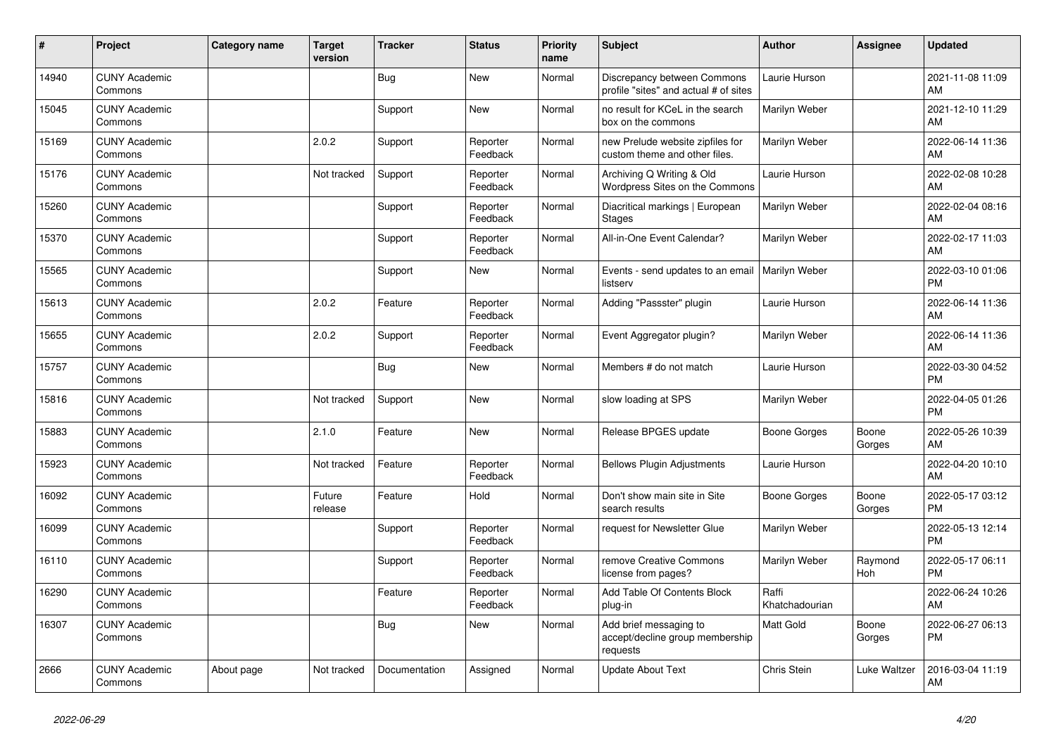| #     | <b>Project</b>                  | Category name | <b>Target</b><br>version | <b>Tracker</b> | <b>Status</b>        | <b>Priority</b><br>name | <b>Subject</b>                                                        | <b>Author</b>           | <b>Assignee</b>       | <b>Updated</b>                |
|-------|---------------------------------|---------------|--------------------------|----------------|----------------------|-------------------------|-----------------------------------------------------------------------|-------------------------|-----------------------|-------------------------------|
| 14940 | <b>CUNY Academic</b><br>Commons |               |                          | <b>Bug</b>     | New                  | Normal                  | Discrepancy between Commons<br>profile "sites" and actual # of sites  | Laurie Hurson           |                       | 2021-11-08 11:09<br>AM        |
| 15045 | <b>CUNY Academic</b><br>Commons |               |                          | Support        | <b>New</b>           | Normal                  | no result for KCeL in the search<br>box on the commons                | Marilyn Weber           |                       | 2021-12-10 11:29<br>AM        |
| 15169 | <b>CUNY Academic</b><br>Commons |               | 2.0.2                    | Support        | Reporter<br>Feedback | Normal                  | new Prelude website zipfiles for<br>custom theme and other files.     | Marilyn Weber           |                       | 2022-06-14 11:36<br>AM        |
| 15176 | <b>CUNY Academic</b><br>Commons |               | Not tracked              | Support        | Reporter<br>Feedback | Normal                  | Archiving Q Writing & Old<br>Wordpress Sites on the Commons           | Laurie Hurson           |                       | 2022-02-08 10:28<br>AM        |
| 15260 | <b>CUNY Academic</b><br>Commons |               |                          | Support        | Reporter<br>Feedback | Normal                  | Diacritical markings   European<br>Stages                             | Marilyn Weber           |                       | 2022-02-04 08:16<br>AM        |
| 15370 | <b>CUNY Academic</b><br>Commons |               |                          | Support        | Reporter<br>Feedback | Normal                  | All-in-One Event Calendar?                                            | Marilyn Weber           |                       | 2022-02-17 11:03<br>AM        |
| 15565 | <b>CUNY Academic</b><br>Commons |               |                          | Support        | New                  | Normal                  | Events - send updates to an email<br>listserv                         | Marilyn Weber           |                       | 2022-03-10 01:06<br><b>PM</b> |
| 15613 | <b>CUNY Academic</b><br>Commons |               | 2.0.2                    | Feature        | Reporter<br>Feedback | Normal                  | Adding "Passster" plugin                                              | Laurie Hurson           |                       | 2022-06-14 11:36<br>AM        |
| 15655 | <b>CUNY Academic</b><br>Commons |               | 2.0.2                    | Support        | Reporter<br>Feedback | Normal                  | Event Aggregator plugin?                                              | Marilyn Weber           |                       | 2022-06-14 11:36<br>AM        |
| 15757 | <b>CUNY Academic</b><br>Commons |               |                          | <b>Bug</b>     | New                  | Normal                  | Members # do not match                                                | Laurie Hurson           |                       | 2022-03-30 04:52<br><b>PM</b> |
| 15816 | <b>CUNY Academic</b><br>Commons |               | Not tracked              | Support        | <b>New</b>           | Normal                  | slow loading at SPS                                                   | Marilyn Weber           |                       | 2022-04-05 01:26<br><b>PM</b> |
| 15883 | <b>CUNY Academic</b><br>Commons |               | 2.1.0                    | Feature        | New                  | Normal                  | Release BPGES update                                                  | Boone Gorges            | Boone<br>Gorges       | 2022-05-26 10:39<br>AM        |
| 15923 | <b>CUNY Academic</b><br>Commons |               | Not tracked              | Feature        | Reporter<br>Feedback | Normal                  | <b>Bellows Plugin Adjustments</b>                                     | Laurie Hurson           |                       | 2022-04-20 10:10<br>AM        |
| 16092 | <b>CUNY Academic</b><br>Commons |               | Future<br>release        | Feature        | Hold                 | Normal                  | Don't show main site in Site<br>search results                        | <b>Boone Gorges</b>     | Boone<br>Gorges       | 2022-05-17 03:12<br><b>PM</b> |
| 16099 | <b>CUNY Academic</b><br>Commons |               |                          | Support        | Reporter<br>Feedback | Normal                  | request for Newsletter Glue                                           | Marilyn Weber           |                       | 2022-05-13 12:14<br><b>PM</b> |
| 16110 | <b>CUNY Academic</b><br>Commons |               |                          | Support        | Reporter<br>Feedback | Normal                  | remove Creative Commons<br>license from pages?                        | Marilyn Weber           | Raymond<br><b>Hoh</b> | 2022-05-17 06:11<br><b>PM</b> |
| 16290 | <b>CUNY Academic</b><br>Commons |               |                          | Feature        | Reporter<br>Feedback | Normal                  | Add Table Of Contents Block<br>plug-in                                | Raffi<br>Khatchadourian |                       | 2022-06-24 10:26<br>AM        |
| 16307 | <b>CUNY Academic</b><br>Commons |               |                          | <b>Bug</b>     | <b>New</b>           | Normal                  | Add brief messaging to<br>accept/decline group membership<br>requests | <b>Matt Gold</b>        | Boone<br>Gorges       | 2022-06-27 06:13<br><b>PM</b> |
| 2666  | <b>CUNY Academic</b><br>Commons | About page    | Not tracked              | Documentation  | Assigned             | Normal                  | <b>Update About Text</b>                                              | Chris Stein             | Luke Waltzer          | 2016-03-04 11:19<br>AM        |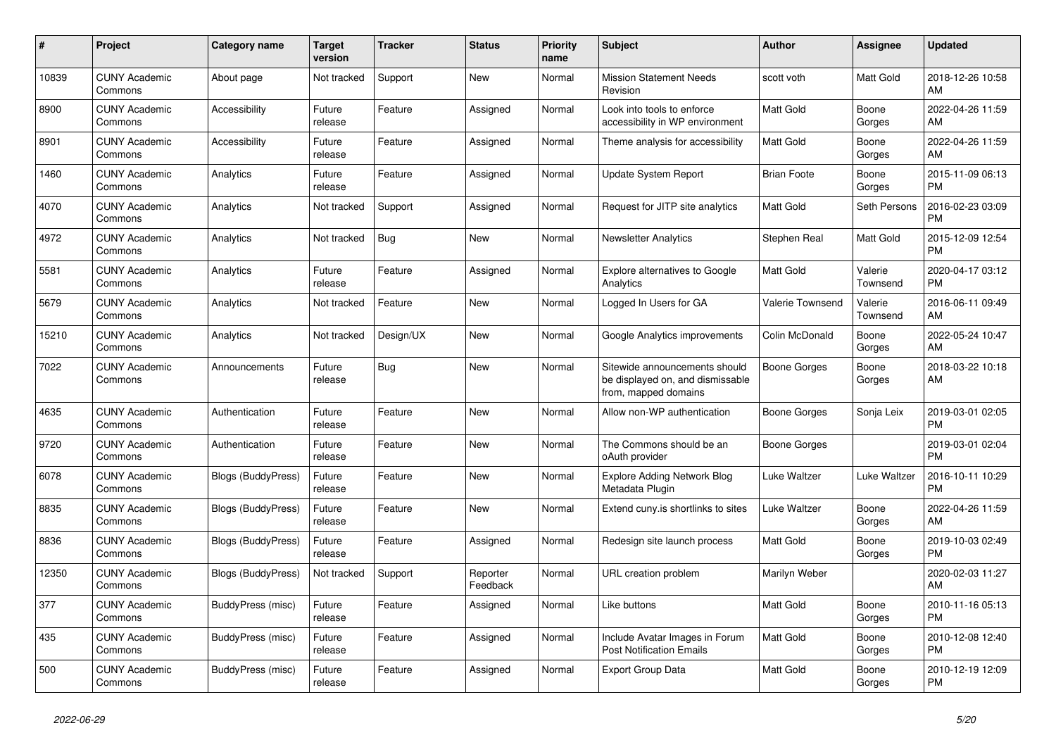| $\#$  | <b>Project</b>                  | Category name             | <b>Target</b><br>version | <b>Tracker</b> | <b>Status</b>        | <b>Priority</b><br>name | <b>Subject</b>                                                                            | Author                  | Assignee            | <b>Updated</b>                |
|-------|---------------------------------|---------------------------|--------------------------|----------------|----------------------|-------------------------|-------------------------------------------------------------------------------------------|-------------------------|---------------------|-------------------------------|
| 10839 | <b>CUNY Academic</b><br>Commons | About page                | Not tracked              | Support        | <b>New</b>           | Normal                  | <b>Mission Statement Needs</b><br>Revision                                                | scott voth              | <b>Matt Gold</b>    | 2018-12-26 10:58<br>AM        |
| 8900  | <b>CUNY Academic</b><br>Commons | Accessibility             | Future<br>release        | Feature        | Assigned             | Normal                  | Look into tools to enforce<br>accessibility in WP environment                             | <b>Matt Gold</b>        | Boone<br>Gorges     | 2022-04-26 11:59<br>AM        |
| 8901  | <b>CUNY Academic</b><br>Commons | Accessibility             | Future<br>release        | Feature        | Assigned             | Normal                  | Theme analysis for accessibility                                                          | Matt Gold               | Boone<br>Gorges     | 2022-04-26 11:59<br>AM        |
| 1460  | <b>CUNY Academic</b><br>Commons | Analytics                 | Future<br>release        | Feature        | Assigned             | Normal                  | Update System Report                                                                      | <b>Brian Foote</b>      | Boone<br>Gorges     | 2015-11-09 06:13<br><b>PM</b> |
| 4070  | <b>CUNY Academic</b><br>Commons | Analytics                 | Not tracked              | Support        | Assigned             | Normal                  | Request for JITP site analytics                                                           | Matt Gold               | Seth Persons        | 2016-02-23 03:09<br><b>PM</b> |
| 4972  | <b>CUNY Academic</b><br>Commons | Analytics                 | Not tracked              | <b>Bug</b>     | New                  | Normal                  | <b>Newsletter Analytics</b>                                                               | Stephen Real            | Matt Gold           | 2015-12-09 12:54<br><b>PM</b> |
| 5581  | <b>CUNY Academic</b><br>Commons | Analytics                 | Future<br>release        | Feature        | Assigned             | Normal                  | Explore alternatives to Google<br>Analytics                                               | <b>Matt Gold</b>        | Valerie<br>Townsend | 2020-04-17 03:12<br><b>PM</b> |
| 5679  | <b>CUNY Academic</b><br>Commons | Analytics                 | Not tracked              | Feature        | <b>New</b>           | Normal                  | Logged In Users for GA                                                                    | <b>Valerie Townsend</b> | Valerie<br>Townsend | 2016-06-11 09:49<br>AM        |
| 15210 | <b>CUNY Academic</b><br>Commons | Analytics                 | Not tracked              | Design/UX      | <b>New</b>           | Normal                  | Google Analytics improvements                                                             | Colin McDonald          | Boone<br>Gorges     | 2022-05-24 10:47<br>AM        |
| 7022  | <b>CUNY Academic</b><br>Commons | Announcements             | Future<br>release        | Bug            | <b>New</b>           | Normal                  | Sitewide announcements should<br>be displayed on, and dismissable<br>from, mapped domains | Boone Gorges            | Boone<br>Gorges     | 2018-03-22 10:18<br>AM        |
| 4635  | <b>CUNY Academic</b><br>Commons | Authentication            | Future<br>release        | Feature        | <b>New</b>           | Normal                  | Allow non-WP authentication                                                               | Boone Gorges            | Sonja Leix          | 2019-03-01 02:05<br><b>PM</b> |
| 9720  | <b>CUNY Academic</b><br>Commons | Authentication            | Future<br>release        | Feature        | <b>New</b>           | Normal                  | The Commons should be an<br>oAuth provider                                                | Boone Gorges            |                     | 2019-03-01 02:04<br><b>PM</b> |
| 6078  | <b>CUNY Academic</b><br>Commons | Blogs (BuddyPress)        | Future<br>release        | Feature        | <b>New</b>           | Normal                  | <b>Explore Adding Network Blog</b><br>Metadata Plugin                                     | Luke Waltzer            | Luke Waltzer        | 2016-10-11 10:29<br><b>PM</b> |
| 8835  | <b>CUNY Academic</b><br>Commons | Blogs (BuddyPress)        | Future<br>release        | Feature        | <b>New</b>           | Normal                  | Extend cuny is shortlinks to sites                                                        | Luke Waltzer            | Boone<br>Gorges     | 2022-04-26 11:59<br>AM        |
| 8836  | <b>CUNY Academic</b><br>Commons | <b>Blogs (BuddyPress)</b> | Future<br>release        | Feature        | Assigned             | Normal                  | Redesign site launch process                                                              | <b>Matt Gold</b>        | Boone<br>Gorges     | 2019-10-03 02:49<br><b>PM</b> |
| 12350 | <b>CUNY Academic</b><br>Commons | <b>Blogs (BuddyPress)</b> | Not tracked              | Support        | Reporter<br>Feedback | Normal                  | URL creation problem                                                                      | Marilyn Weber           |                     | 2020-02-03 11:27<br>AM        |
| 377   | <b>CUNY Academic</b><br>Commons | BuddyPress (misc)         | Future<br>release        | Feature        | Assigned             | Normal                  | Like buttons                                                                              | <b>Matt Gold</b>        | Boone<br>Gorges     | 2010-11-16 05:13<br><b>PM</b> |
| 435   | <b>CUNY Academic</b><br>Commons | BuddyPress (misc)         | Future<br>release        | Feature        | Assigned             | Normal                  | Include Avatar Images in Forum<br><b>Post Notification Emails</b>                         | <b>Matt Gold</b>        | Boone<br>Gorges     | 2010-12-08 12:40<br><b>PM</b> |
| 500   | <b>CUNY Academic</b><br>Commons | BuddyPress (misc)         | Future<br>release        | Feature        | Assigned             | Normal                  | Export Group Data                                                                         | <b>Matt Gold</b>        | Boone<br>Gorges     | 2010-12-19 12:09<br><b>PM</b> |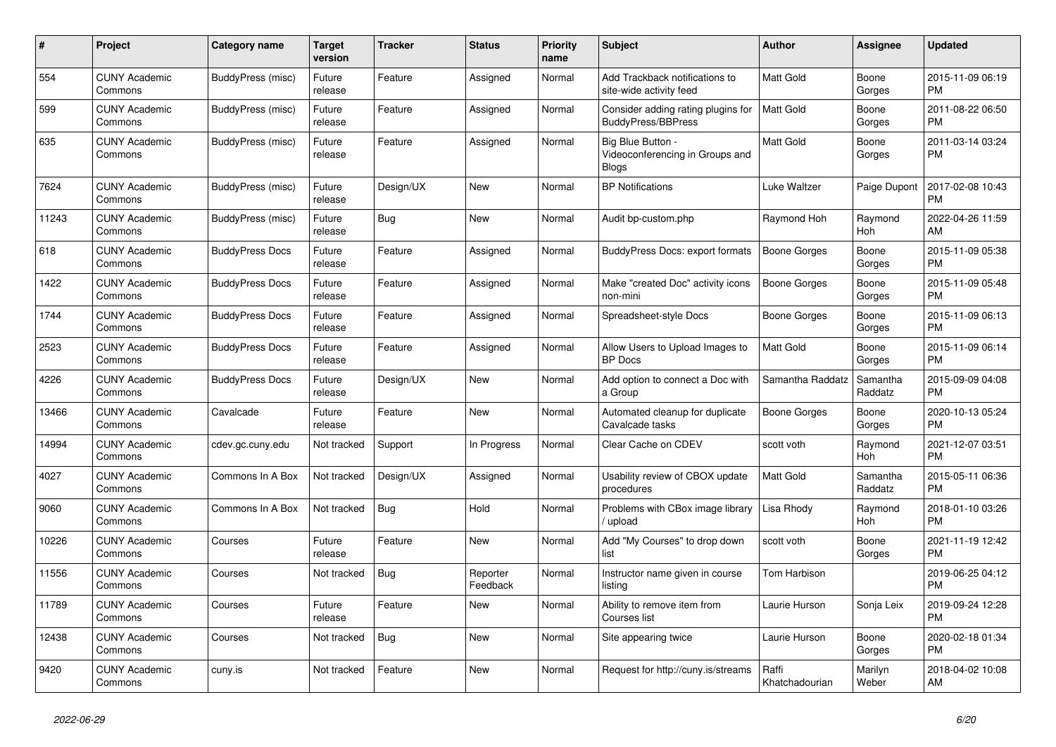| $\pmb{\#}$ | <b>Project</b>                  | Category name          | Target<br>version | <b>Tracker</b> | <b>Status</b>        | <b>Priority</b><br>name | <b>Subject</b>                                                       | <b>Author</b>           | Assignee              | <b>Updated</b>                |
|------------|---------------------------------|------------------------|-------------------|----------------|----------------------|-------------------------|----------------------------------------------------------------------|-------------------------|-----------------------|-------------------------------|
| 554        | <b>CUNY Academic</b><br>Commons | BuddyPress (misc)      | Future<br>release | Feature        | Assigned             | Normal                  | Add Trackback notifications to<br>site-wide activity feed            | <b>Matt Gold</b>        | Boone<br>Gorges       | 2015-11-09 06:19<br><b>PM</b> |
| 599        | <b>CUNY Academic</b><br>Commons | BuddyPress (misc)      | Future<br>release | Feature        | Assigned             | Normal                  | Consider adding rating plugins for<br><b>BuddyPress/BBPress</b>      | <b>Matt Gold</b>        | Boone<br>Gorges       | 2011-08-22 06:50<br><b>PM</b> |
| 635        | <b>CUNY Academic</b><br>Commons | BuddyPress (misc)      | Future<br>release | Feature        | Assigned             | Normal                  | Big Blue Button -<br>Videoconferencing in Groups and<br><b>Blogs</b> | <b>Matt Gold</b>        | Boone<br>Gorges       | 2011-03-14 03:24<br><b>PM</b> |
| 7624       | <b>CUNY Academic</b><br>Commons | BuddyPress (misc)      | Future<br>release | Design/UX      | <b>New</b>           | Normal                  | <b>BP</b> Notifications                                              | <b>Luke Waltzer</b>     | Paige Dupont          | 2017-02-08 10:43<br><b>PM</b> |
| 11243      | <b>CUNY Academic</b><br>Commons | BuddyPress (misc)      | Future<br>release | Bug            | <b>New</b>           | Normal                  | Audit bp-custom.php                                                  | Raymond Hoh             | Raymond<br>Hoh        | 2022-04-26 11:59<br>AM        |
| 618        | <b>CUNY Academic</b><br>Commons | <b>BuddyPress Docs</b> | Future<br>release | Feature        | Assigned             | Normal                  | <b>BuddyPress Docs: export formats</b>                               | <b>Boone Gorges</b>     | Boone<br>Gorges       | 2015-11-09 05:38<br><b>PM</b> |
| 1422       | <b>CUNY Academic</b><br>Commons | <b>BuddyPress Docs</b> | Future<br>release | Feature        | Assigned             | Normal                  | Make "created Doc" activity icons<br>non-mini                        | <b>Boone Gorges</b>     | Boone<br>Gorges       | 2015-11-09 05:48<br><b>PM</b> |
| 1744       | <b>CUNY Academic</b><br>Commons | <b>BuddyPress Docs</b> | Future<br>release | Feature        | Assigned             | Normal                  | Spreadsheet-style Docs                                               | Boone Gorges            | Boone<br>Gorges       | 2015-11-09 06:13<br><b>PM</b> |
| 2523       | <b>CUNY Academic</b><br>Commons | <b>BuddyPress Docs</b> | Future<br>release | Feature        | Assigned             | Normal                  | Allow Users to Upload Images to<br><b>BP</b> Docs                    | <b>Matt Gold</b>        | Boone<br>Gorges       | 2015-11-09 06:14<br><b>PM</b> |
| 4226       | <b>CUNY Academic</b><br>Commons | <b>BuddyPress Docs</b> | Future<br>release | Design/UX      | <b>New</b>           | Normal                  | Add option to connect a Doc with<br>a Group                          | Samantha Raddatz        | Samantha<br>Raddatz   | 2015-09-09 04:08<br><b>PM</b> |
| 13466      | <b>CUNY Academic</b><br>Commons | Cavalcade              | Future<br>release | Feature        | <b>New</b>           | Normal                  | Automated cleanup for duplicate<br>Cavalcade tasks                   | <b>Boone Gorges</b>     | Boone<br>Gorges       | 2020-10-13 05:24<br><b>PM</b> |
| 14994      | <b>CUNY Academic</b><br>Commons | cdev.gc.cuny.edu       | Not tracked       | Support        | In Progress          | Normal                  | Clear Cache on CDEV                                                  | scott voth              | Raymond<br><b>Hoh</b> | 2021-12-07 03:51<br><b>PM</b> |
| 4027       | <b>CUNY Academic</b><br>Commons | Commons In A Box       | Not tracked       | Design/UX      | Assigned             | Normal                  | Usability review of CBOX update<br>procedures                        | Matt Gold               | Samantha<br>Raddatz   | 2015-05-11 06:36<br><b>PM</b> |
| 9060       | <b>CUNY Academic</b><br>Commons | Commons In A Box       | Not tracked       | <b>Bug</b>     | Hold                 | Normal                  | Problems with CBox image library<br>upload                           | Lisa Rhody              | Raymond<br>Hoh        | 2018-01-10 03:26<br><b>PM</b> |
| 10226      | <b>CUNY Academic</b><br>Commons | Courses                | Future<br>release | Feature        | <b>New</b>           | Normal                  | Add "My Courses" to drop down<br>list                                | scott voth              | Boone<br>Gorges       | 2021-11-19 12:42<br><b>PM</b> |
| 11556      | <b>CUNY Academic</b><br>Commons | Courses                | Not tracked       | <b>Bug</b>     | Reporter<br>Feedback | Normal                  | Instructor name given in course<br>listing                           | Tom Harbison            |                       | 2019-06-25 04:12<br><b>PM</b> |
| 11789      | <b>CUNY Academic</b><br>Commons | Courses                | Future<br>release | Feature        | <b>New</b>           | Normal                  | Ability to remove item from<br>Courses list                          | Laurie Hurson           | Sonja Leix            | 2019-09-24 12:28<br><b>PM</b> |
| 12438      | <b>CUNY Academic</b><br>Commons | Courses                | Not tracked       | <b>Bug</b>     | <b>New</b>           | Normal                  | Site appearing twice                                                 | Laurie Hurson           | Boone<br>Gorges       | 2020-02-18 01:34<br><b>PM</b> |
| 9420       | <b>CUNY Academic</b><br>Commons | cuny.is                | Not tracked       | Feature        | <b>New</b>           | Normal                  | Request for http://cuny.is/streams                                   | Raffi<br>Khatchadourian | Marilyn<br>Weber      | 2018-04-02 10:08<br>AM        |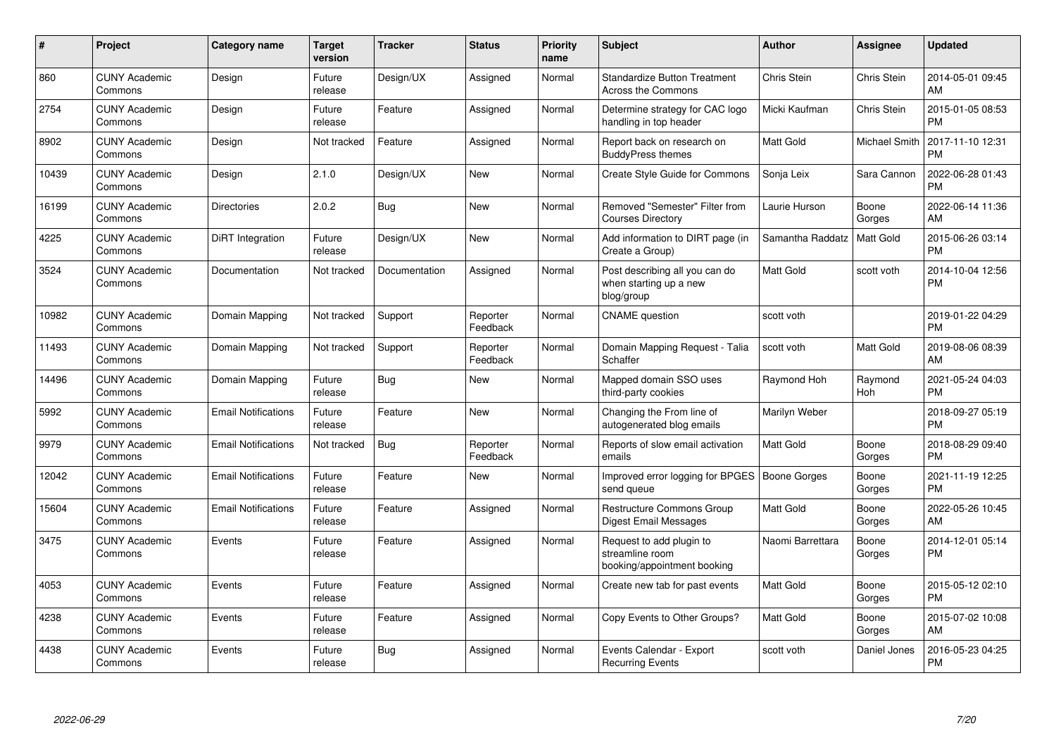| #     | Project                         | <b>Category name</b>       | Target<br>version | <b>Tracker</b> | <b>Status</b>        | <b>Priority</b><br>name | <b>Subject</b>                                                             | <b>Author</b>    | Assignee             | <b>Updated</b>                |
|-------|---------------------------------|----------------------------|-------------------|----------------|----------------------|-------------------------|----------------------------------------------------------------------------|------------------|----------------------|-------------------------------|
| 860   | <b>CUNY Academic</b><br>Commons | Design                     | Future<br>release | Design/UX      | Assigned             | Normal                  | <b>Standardize Button Treatment</b><br>Across the Commons                  | Chris Stein      | Chris Stein          | 2014-05-01 09:45<br>AM        |
| 2754  | <b>CUNY Academic</b><br>Commons | Design                     | Future<br>release | Feature        | Assigned             | Normal                  | Determine strategy for CAC logo<br>handling in top header                  | Micki Kaufman    | Chris Stein          | 2015-01-05 08:53<br><b>PM</b> |
| 8902  | <b>CUNY Academic</b><br>Commons | Design                     | Not tracked       | Feature        | Assigned             | Normal                  | Report back on research on<br><b>BuddyPress themes</b>                     | Matt Gold        | <b>Michael Smith</b> | 2017-11-10 12:31<br><b>PM</b> |
| 10439 | <b>CUNY Academic</b><br>Commons | Design                     | 2.1.0             | Design/UX      | New                  | Normal                  | Create Style Guide for Commons                                             | Sonja Leix       | Sara Cannon          | 2022-06-28 01:43<br><b>PM</b> |
| 16199 | <b>CUNY Academic</b><br>Commons | <b>Directories</b>         | 2.0.2             | <b>Bug</b>     | <b>New</b>           | Normal                  | Removed "Semester" Filter from<br><b>Courses Directory</b>                 | Laurie Hurson    | Boone<br>Gorges      | 2022-06-14 11:36<br>AM        |
| 4225  | <b>CUNY Academic</b><br>Commons | DiRT Integration           | Future<br>release | Design/UX      | <b>New</b>           | Normal                  | Add information to DIRT page (in<br>Create a Group)                        | Samantha Raddatz | <b>Matt Gold</b>     | 2015-06-26 03:14<br><b>PM</b> |
| 3524  | <b>CUNY Academic</b><br>Commons | Documentation              | Not tracked       | Documentation  | Assigned             | Normal                  | Post describing all you can do<br>when starting up a new<br>blog/group     | Matt Gold        | scott voth           | 2014-10-04 12:56<br><b>PM</b> |
| 10982 | <b>CUNY Academic</b><br>Commons | Domain Mapping             | Not tracked       | Support        | Reporter<br>Feedback | Normal                  | <b>CNAME</b> question                                                      | scott voth       |                      | 2019-01-22 04:29<br><b>PM</b> |
| 11493 | <b>CUNY Academic</b><br>Commons | Domain Mapping             | Not tracked       | Support        | Reporter<br>Feedback | Normal                  | Domain Mapping Request - Talia<br>Schaffer                                 | scott voth       | Matt Gold            | 2019-08-06 08:39<br>AM        |
| 14496 | <b>CUNY Academic</b><br>Commons | Domain Mapping             | Future<br>release | <b>Bug</b>     | New                  | Normal                  | Mapped domain SSO uses<br>third-party cookies                              | Raymond Hoh      | Raymond<br>Hoh       | 2021-05-24 04:03<br><b>PM</b> |
| 5992  | <b>CUNY Academic</b><br>Commons | <b>Email Notifications</b> | Future<br>release | Feature        | New                  | Normal                  | Changing the From line of<br>autogenerated blog emails                     | Marilyn Weber    |                      | 2018-09-27 05:19<br><b>PM</b> |
| 9979  | <b>CUNY Academic</b><br>Commons | <b>Email Notifications</b> | Not tracked       | Bug            | Reporter<br>Feedback | Normal                  | Reports of slow email activation<br>emails                                 | <b>Matt Gold</b> | Boone<br>Gorges      | 2018-08-29 09:40<br><b>PM</b> |
| 12042 | <b>CUNY Academic</b><br>Commons | <b>Email Notifications</b> | Future<br>release | Feature        | New                  | Normal                  | Improved error logging for BPGES   Boone Gorges<br>send queue              |                  | Boone<br>Gorges      | 2021-11-19 12:25<br><b>PM</b> |
| 15604 | <b>CUNY Academic</b><br>Commons | <b>Email Notifications</b> | Future<br>release | Feature        | Assigned             | Normal                  | Restructure Commons Group<br><b>Digest Email Messages</b>                  | Matt Gold        | Boone<br>Gorges      | 2022-05-26 10:45<br>AM        |
| 3475  | <b>CUNY Academic</b><br>Commons | Events                     | Future<br>release | Feature        | Assigned             | Normal                  | Request to add plugin to<br>streamline room<br>booking/appointment booking | Naomi Barrettara | Boone<br>Gorges      | 2014-12-01 05:14<br><b>PM</b> |
| 4053  | <b>CUNY Academic</b><br>Commons | Events                     | Future<br>release | Feature        | Assigned             | Normal                  | Create new tab for past events                                             | Matt Gold        | Boone<br>Gorges      | 2015-05-12 02:10<br><b>PM</b> |
| 4238  | <b>CUNY Academic</b><br>Commons | Events                     | Future<br>release | Feature        | Assigned             | Normal                  | Copy Events to Other Groups?                                               | Matt Gold        | Boone<br>Gorges      | 2015-07-02 10:08<br>AM        |
| 4438  | <b>CUNY Academic</b><br>Commons | Events                     | Future<br>release | Bug            | Assigned             | Normal                  | Events Calendar - Export<br><b>Recurring Events</b>                        | scott voth       | Daniel Jones         | 2016-05-23 04:25<br><b>PM</b> |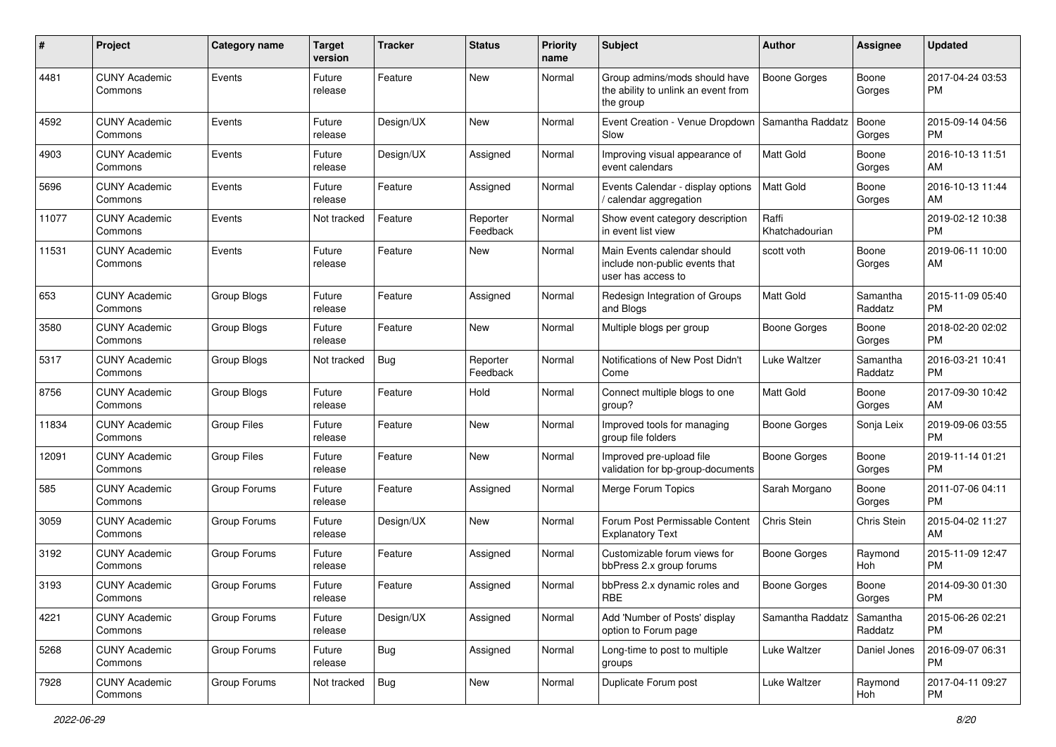| #     | Project                         | Category name      | Target<br>version | <b>Tracker</b> | <b>Status</b>        | <b>Priority</b><br>name | Subject                                                                             | <b>Author</b>           | <b>Assignee</b>     | <b>Updated</b>                |
|-------|---------------------------------|--------------------|-------------------|----------------|----------------------|-------------------------|-------------------------------------------------------------------------------------|-------------------------|---------------------|-------------------------------|
| 4481  | <b>CUNY Academic</b><br>Commons | Events             | Future<br>release | Feature        | New                  | Normal                  | Group admins/mods should have<br>the ability to unlink an event from<br>the group   | <b>Boone Gorges</b>     | Boone<br>Gorges     | 2017-04-24 03:53<br>РM        |
| 4592  | <b>CUNY Academic</b><br>Commons | Events             | Future<br>release | Design/UX      | <b>New</b>           | Normal                  | Event Creation - Venue Dropdown<br>Slow                                             | Samantha Raddatz        | Boone<br>Gorges     | 2015-09-14 04:56<br><b>PM</b> |
| 4903  | <b>CUNY Academic</b><br>Commons | Events             | Future<br>release | Design/UX      | Assigned             | Normal                  | Improving visual appearance of<br>event calendars                                   | Matt Gold               | Boone<br>Gorges     | 2016-10-13 11:51<br>AM        |
| 5696  | <b>CUNY Academic</b><br>Commons | Events             | Future<br>release | Feature        | Assigned             | Normal                  | Events Calendar - display options<br>/ calendar aggregation                         | Matt Gold               | Boone<br>Gorges     | 2016-10-13 11:44<br>AM        |
| 11077 | <b>CUNY Academic</b><br>Commons | Events             | Not tracked       | Feature        | Reporter<br>Feedback | Normal                  | Show event category description<br>in event list view                               | Raffi<br>Khatchadourian |                     | 2019-02-12 10:38<br><b>PM</b> |
| 11531 | <b>CUNY Academic</b><br>Commons | Events             | Future<br>release | Feature        | New                  | Normal                  | Main Events calendar should<br>include non-public events that<br>user has access to | scott voth              | Boone<br>Gorges     | 2019-06-11 10:00<br>AM        |
| 653   | <b>CUNY Academic</b><br>Commons | <b>Group Blogs</b> | Future<br>release | Feature        | Assigned             | Normal                  | Redesign Integration of Groups<br>and Blogs                                         | <b>Matt Gold</b>        | Samantha<br>Raddatz | 2015-11-09 05:40<br><b>PM</b> |
| 3580  | <b>CUNY Academic</b><br>Commons | Group Blogs        | Future<br>release | Feature        | New                  | Normal                  | Multiple blogs per group                                                            | <b>Boone Gorges</b>     | Boone<br>Gorges     | 2018-02-20 02:02<br><b>PM</b> |
| 5317  | <b>CUNY Academic</b><br>Commons | Group Blogs        | Not tracked       | Bug            | Reporter<br>Feedback | Normal                  | Notifications of New Post Didn't<br>Come                                            | Luke Waltzer            | Samantha<br>Raddatz | 2016-03-21 10:41<br><b>PM</b> |
| 8756  | <b>CUNY Academic</b><br>Commons | Group Blogs        | Future<br>release | Feature        | Hold                 | Normal                  | Connect multiple blogs to one<br>group?                                             | Matt Gold               | Boone<br>Gorges     | 2017-09-30 10:42<br>AM        |
| 11834 | <b>CUNY Academic</b><br>Commons | <b>Group Files</b> | Future<br>release | Feature        | New                  | Normal                  | Improved tools for managing<br>group file folders                                   | <b>Boone Gorges</b>     | Sonja Leix          | 2019-09-06 03:55<br><b>PM</b> |
| 12091 | <b>CUNY Academic</b><br>Commons | Group Files        | Future<br>release | Feature        | <b>New</b>           | Normal                  | Improved pre-upload file<br>validation for bp-group-documents                       | Boone Gorges            | Boone<br>Gorges     | 2019-11-14 01:21<br><b>PM</b> |
| 585   | <b>CUNY Academic</b><br>Commons | Group Forums       | Future<br>release | Feature        | Assigned             | Normal                  | Merge Forum Topics                                                                  | Sarah Morgano           | Boone<br>Gorges     | 2011-07-06 04:11<br><b>PM</b> |
| 3059  | <b>CUNY Academic</b><br>Commons | Group Forums       | Future<br>release | Design/UX      | <b>New</b>           | Normal                  | Forum Post Permissable Content<br><b>Explanatory Text</b>                           | Chris Stein             | Chris Stein         | 2015-04-02 11:27<br>AM        |
| 3192  | <b>CUNY Academic</b><br>Commons | Group Forums       | Future<br>release | Feature        | Assigned             | Normal                  | Customizable forum views for<br>bbPress 2.x group forums                            | Boone Gorges            | Raymond<br>Hoh      | 2015-11-09 12:47<br><b>PM</b> |
| 3193  | <b>CUNY Academic</b><br>Commons | Group Forums       | Future<br>release | Feature        | Assigned             | Normal                  | bbPress 2.x dynamic roles and<br>RBE                                                | <b>Boone Gorges</b>     | Boone<br>Gorges     | 2014-09-30 01:30<br>PM        |
| 4221  | <b>CUNY Academic</b><br>Commons | Group Forums       | Future<br>release | Design/UX      | Assigned             | Normal                  | Add 'Number of Posts' display<br>option to Forum page                               | Samantha Raddatz        | Samantha<br>Raddatz | 2015-06-26 02:21<br><b>PM</b> |
| 5268  | <b>CUNY Academic</b><br>Commons | Group Forums       | Future<br>release | Bug            | Assigned             | Normal                  | Long-time to post to multiple<br>groups                                             | Luke Waltzer            | Daniel Jones        | 2016-09-07 06:31<br><b>PM</b> |
| 7928  | <b>CUNY Academic</b><br>Commons | Group Forums       | Not tracked       | <b>Bug</b>     | New                  | Normal                  | Duplicate Forum post                                                                | Luke Waltzer            | Raymond<br>Hoh      | 2017-04-11 09:27<br><b>PM</b> |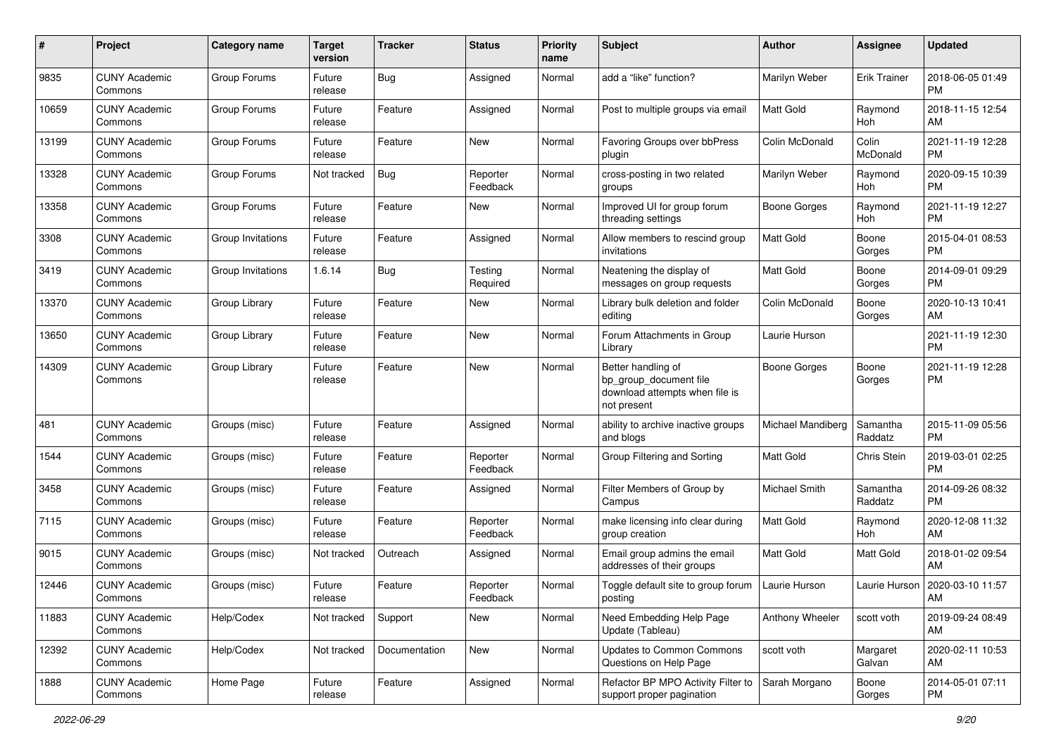| #     | Project                         | <b>Category name</b> | <b>Target</b><br>version | <b>Tracker</b> | <b>Status</b>        | <b>Priority</b><br>name | Subject                                                                                       | Author              | <b>Assignee</b>     | <b>Updated</b>                |
|-------|---------------------------------|----------------------|--------------------------|----------------|----------------------|-------------------------|-----------------------------------------------------------------------------------------------|---------------------|---------------------|-------------------------------|
| 9835  | <b>CUNY Academic</b><br>Commons | Group Forums         | Future<br>release        | <b>Bug</b>     | Assigned             | Normal                  | add a "like" function?                                                                        | Marilyn Weber       | <b>Erik Trainer</b> | 2018-06-05 01:49<br><b>PM</b> |
| 10659 | <b>CUNY Academic</b><br>Commons | Group Forums         | Future<br>release        | Feature        | Assigned             | Normal                  | Post to multiple groups via email                                                             | Matt Gold           | Raymond<br>Hoh      | 2018-11-15 12:54<br>AM        |
| 13199 | CUNY Academic<br>Commons        | Group Forums         | Future<br>release        | Feature        | New                  | Normal                  | <b>Favoring Groups over bbPress</b><br>plugin                                                 | Colin McDonald      | Colin<br>McDonald   | 2021-11-19 12:28<br><b>PM</b> |
| 13328 | <b>CUNY Academic</b><br>Commons | Group Forums         | Not tracked              | Bug            | Reporter<br>Feedback | Normal                  | cross-posting in two related<br>groups                                                        | Marilyn Weber       | Raymond<br>Hoh      | 2020-09-15 10:39<br><b>PM</b> |
| 13358 | <b>CUNY Academic</b><br>Commons | Group Forums         | Future<br>release        | Feature        | New                  | Normal                  | Improved UI for group forum<br>threading settings                                             | Boone Gorges        | Raymond<br>Hoh      | 2021-11-19 12:27<br>PM        |
| 3308  | <b>CUNY Academic</b><br>Commons | Group Invitations    | Future<br>release        | Feature        | Assigned             | Normal                  | Allow members to rescind group<br>invitations                                                 | <b>Matt Gold</b>    | Boone<br>Gorges     | 2015-04-01 08:53<br><b>PM</b> |
| 3419  | <b>CUNY Academic</b><br>Commons | Group Invitations    | 1.6.14                   | Bug            | Testing<br>Required  | Normal                  | Neatening the display of<br>messages on group requests                                        | Matt Gold           | Boone<br>Gorges     | 2014-09-01 09:29<br><b>PM</b> |
| 13370 | <b>CUNY Academic</b><br>Commons | Group Library        | Future<br>release        | Feature        | New                  | Normal                  | Library bulk deletion and folder<br>editing                                                   | Colin McDonald      | Boone<br>Gorges     | 2020-10-13 10:41<br>AM        |
| 13650 | <b>CUNY Academic</b><br>Commons | Group Library        | Future<br>release        | Feature        | <b>New</b>           | Normal                  | Forum Attachments in Group<br>Library                                                         | Laurie Hurson       |                     | 2021-11-19 12:30<br><b>PM</b> |
| 14309 | CUNY Academic<br>Commons        | Group Library        | Future<br>release        | Feature        | New                  | Normal                  | Better handling of<br>bp_group_document file<br>download attempts when file is<br>not present | <b>Boone Gorges</b> | Boone<br>Gorges     | 2021-11-19 12:28<br>РM        |
| 481   | <b>CUNY Academic</b><br>Commons | Groups (misc)        | Future<br>release        | Feature        | Assigned             | Normal                  | ability to archive inactive groups<br>and blogs                                               | Michael Mandiberg   | Samantha<br>Raddatz | 2015-11-09 05:56<br><b>PM</b> |
| 1544  | <b>CUNY Academic</b><br>Commons | Groups (misc)        | Future<br>release        | Feature        | Reporter<br>Feedback | Normal                  | Group Filtering and Sorting                                                                   | <b>Matt Gold</b>    | Chris Stein         | 2019-03-01 02:25<br><b>PM</b> |
| 3458  | CUNY Academic<br>Commons        | Groups (misc)        | Future<br>release        | Feature        | Assigned             | Normal                  | Filter Members of Group by<br>Campus                                                          | Michael Smith       | Samantha<br>Raddatz | 2014-09-26 08:32<br><b>PM</b> |
| 7115  | <b>CUNY Academic</b><br>Commons | Groups (misc)        | Future<br>release        | Feature        | Reporter<br>Feedback | Normal                  | make licensing info clear during<br>group creation                                            | <b>Matt Gold</b>    | Raymond<br>Hoh      | 2020-12-08 11:32<br>AM        |
| 9015  | <b>CUNY Academic</b><br>Commons | Groups (misc)        | Not tracked              | Outreach       | Assigned             | Normal                  | Email group admins the email<br>addresses of their groups                                     | <b>Matt Gold</b>    | Matt Gold           | 2018-01-02 09:54<br>AM        |
| 12446 | <b>CUNY Academic</b><br>Commons | Groups (misc)        | Future<br>release        | Feature        | Reporter<br>Feedback | Normal                  | Toggle default site to group forum  <br>posting                                               | Laurie Hurson       | Laurie Hurson       | 2020-03-10 11:57<br>AM        |
| 11883 | <b>CUNY Academic</b><br>Commons | Help/Codex           | Not tracked              | Support        | New                  | Normal                  | Need Embedding Help Page<br>Update (Tableau)                                                  | Anthony Wheeler     | scott voth          | 2019-09-24 08:49<br>AM        |
| 12392 | <b>CUNY Academic</b><br>Commons | Help/Codex           | Not tracked              | Documentation  | New                  | Normal                  | <b>Updates to Common Commons</b><br>Questions on Help Page                                    | scott voth          | Margaret<br>Galvan  | 2020-02-11 10:53<br>AM        |
| 1888  | <b>CUNY Academic</b><br>Commons | Home Page            | Future<br>release        | Feature        | Assigned             | Normal                  | Refactor BP MPO Activity Filter to<br>support proper pagination                               | Sarah Morgano       | Boone<br>Gorges     | 2014-05-01 07:11<br><b>PM</b> |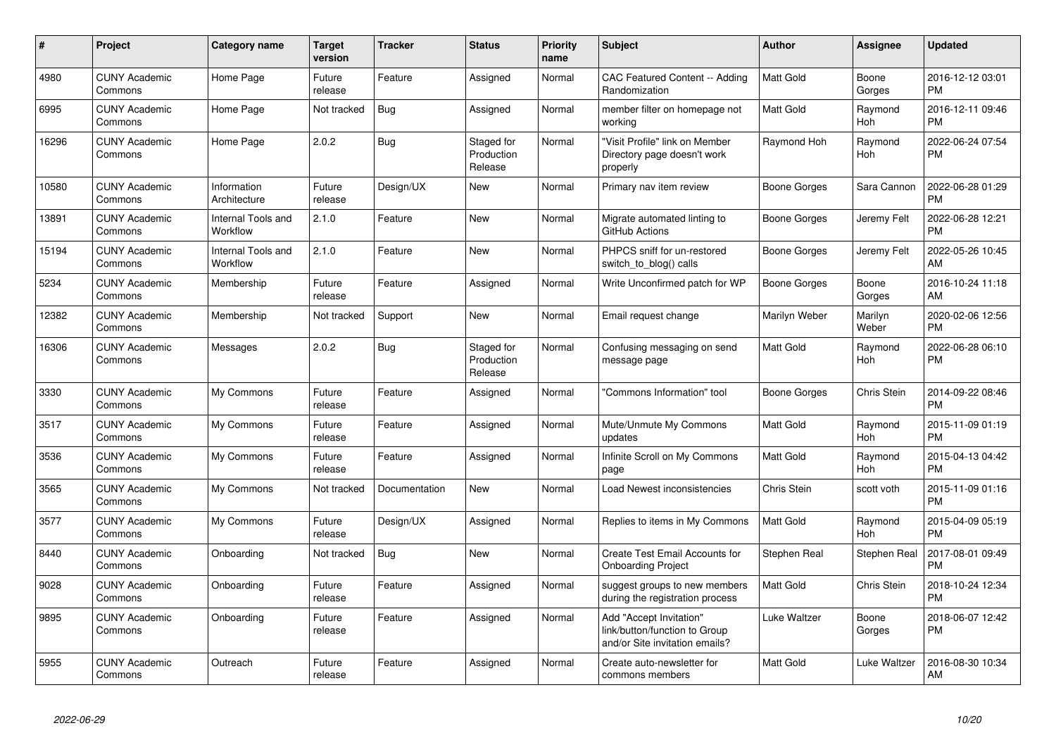| $\#$  | Project                         | <b>Category name</b>           | <b>Target</b><br>version | <b>Tracker</b> | <b>Status</b>                       | <b>Priority</b><br>name | <b>Subject</b>                                                                             | Author        | <b>Assignee</b>  | <b>Updated</b>                |
|-------|---------------------------------|--------------------------------|--------------------------|----------------|-------------------------------------|-------------------------|--------------------------------------------------------------------------------------------|---------------|------------------|-------------------------------|
| 4980  | <b>CUNY Academic</b><br>Commons | Home Page                      | Future<br>release        | Feature        | Assigned                            | Normal                  | <b>CAC Featured Content -- Adding</b><br>Randomization                                     | Matt Gold     | Boone<br>Gorges  | 2016-12-12 03:01<br><b>PM</b> |
| 6995  | <b>CUNY Academic</b><br>Commons | Home Page                      | Not tracked              | Bug            | Assigned                            | Normal                  | member filter on homepage not<br>working                                                   | Matt Gold     | Raymond<br>Hoh   | 2016-12-11 09:46<br><b>PM</b> |
| 16296 | <b>CUNY Academic</b><br>Commons | Home Page                      | 2.0.2                    | <b>Bug</b>     | Staged for<br>Production<br>Release | Normal                  | "Visit Profile" link on Member<br>Directory page doesn't work<br>properly                  | Raymond Hoh   | Raymond<br>Hoh   | 2022-06-24 07:54<br><b>PM</b> |
| 10580 | <b>CUNY Academic</b><br>Commons | Information<br>Architecture    | Future<br>release        | Design/UX      | New                                 | Normal                  | Primary nav item review                                                                    | Boone Gorges  | Sara Cannon      | 2022-06-28 01:29<br><b>PM</b> |
| 13891 | <b>CUNY Academic</b><br>Commons | Internal Tools and<br>Workflow | 2.1.0                    | Feature        | <b>New</b>                          | Normal                  | Migrate automated linting to<br>GitHub Actions                                             | Boone Gorges  | Jeremy Felt      | 2022-06-28 12:21<br><b>PM</b> |
| 15194 | <b>CUNY Academic</b><br>Commons | Internal Tools and<br>Workflow | 2.1.0                    | Feature        | <b>New</b>                          | Normal                  | PHPCS sniff for un-restored<br>switch_to_blog() calls                                      | Boone Gorges  | Jeremy Felt      | 2022-05-26 10:45<br>AM        |
| 5234  | <b>CUNY Academic</b><br>Commons | Membership                     | Future<br>release        | Feature        | Assigned                            | Normal                  | Write Unconfirmed patch for WP                                                             | Boone Gorges  | Boone<br>Gorges  | 2016-10-24 11:18<br>AM        |
| 12382 | <b>CUNY Academic</b><br>Commons | Membership                     | Not tracked              | Support        | New                                 | Normal                  | Email request change                                                                       | Marilyn Weber | Marilyn<br>Weber | 2020-02-06 12:56<br><b>PM</b> |
| 16306 | <b>CUNY Academic</b><br>Commons | Messages                       | 2.0.2                    | <b>Bug</b>     | Staged for<br>Production<br>Release | Normal                  | Confusing messaging on send<br>message page                                                | Matt Gold     | Raymond<br>Hoh   | 2022-06-28 06:10<br><b>PM</b> |
| 3330  | <b>CUNY Academic</b><br>Commons | My Commons                     | Future<br>release        | Feature        | Assigned                            | Normal                  | 'Commons Information" tool                                                                 | Boone Gorges  | Chris Stein      | 2014-09-22 08:46<br><b>PM</b> |
| 3517  | <b>CUNY Academic</b><br>Commons | My Commons                     | Future<br>release        | Feature        | Assigned                            | Normal                  | Mute/Unmute My Commons<br>updates                                                          | Matt Gold     | Raymond<br>Hoh   | 2015-11-09 01:19<br><b>PM</b> |
| 3536  | <b>CUNY Academic</b><br>Commons | My Commons                     | Future<br>release        | Feature        | Assigned                            | Normal                  | Infinite Scroll on My Commons<br>page                                                      | Matt Gold     | Raymond<br>Hoh   | 2015-04-13 04:42<br><b>PM</b> |
| 3565  | <b>CUNY Academic</b><br>Commons | My Commons                     | Not tracked              | Documentation  | New                                 | Normal                  | Load Newest inconsistencies                                                                | Chris Stein   | scott voth       | 2015-11-09 01:16<br><b>PM</b> |
| 3577  | <b>CUNY Academic</b><br>Commons | My Commons                     | Future<br>release        | Design/UX      | Assigned                            | Normal                  | Replies to items in My Commons                                                             | Matt Gold     | Raymond<br>Hoh   | 2015-04-09 05:19<br><b>PM</b> |
| 8440  | <b>CUNY Academic</b><br>Commons | Onboarding                     | Not tracked              | Bug            | <b>New</b>                          | Normal                  | <b>Create Test Email Accounts for</b><br><b>Onboarding Project</b>                         | Stephen Real  | Stephen Real     | 2017-08-01 09:49<br><b>PM</b> |
| 9028  | <b>CUNY Academic</b><br>Commons | Onboarding                     | Future<br>release        | Feature        | Assigned                            | Normal                  | suggest groups to new members<br>during the registration process                           | Matt Gold     | Chris Stein      | 2018-10-24 12:34<br><b>PM</b> |
| 9895  | <b>CUNY Academic</b><br>Commons | Onboarding                     | Future<br>release        | Feature        | Assigned                            | Normal                  | Add "Accept Invitation"<br>link/button/function to Group<br>and/or Site invitation emails? | Luke Waltzer  | Boone<br>Gorges  | 2018-06-07 12:42<br><b>PM</b> |
| 5955  | <b>CUNY Academic</b><br>Commons | Outreach                       | Future<br>release        | Feature        | Assigned                            | Normal                  | Create auto-newsletter for<br>commons members                                              | Matt Gold     | Luke Waltzer     | 2016-08-30 10:34<br>AM        |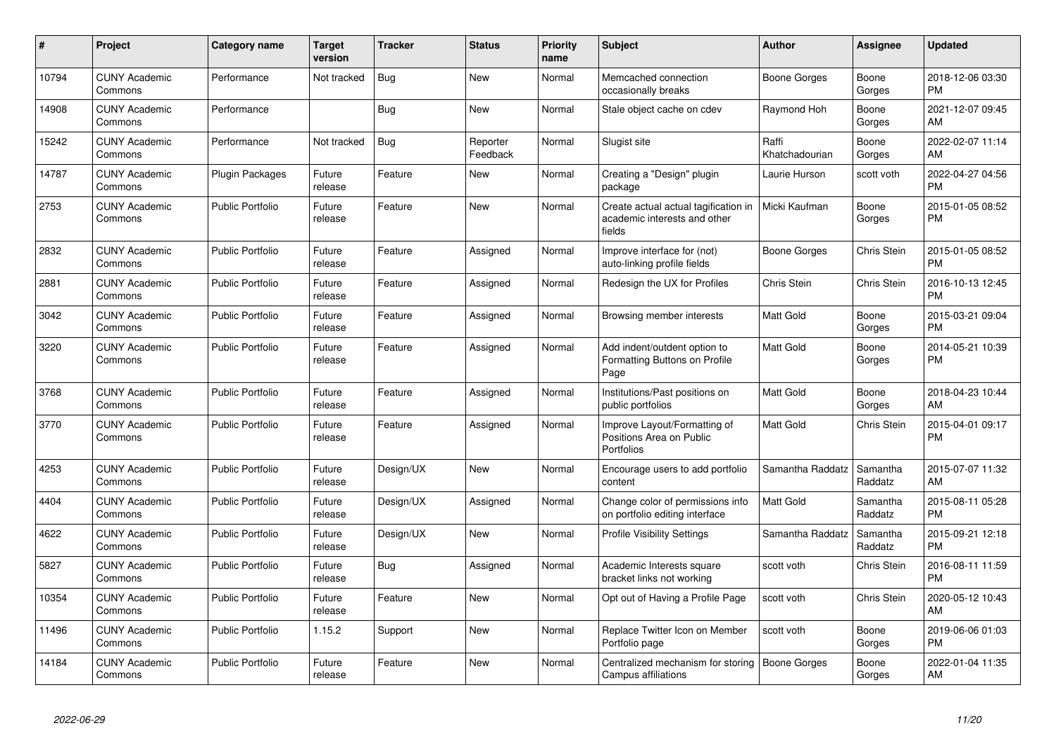| #     | Project                         | <b>Category name</b>    | Target<br>version | <b>Tracker</b> | <b>Status</b>        | <b>Priority</b><br>name | <b>Subject</b>                                                                                 | <b>Author</b>           | <b>Assignee</b>     | <b>Updated</b>                |
|-------|---------------------------------|-------------------------|-------------------|----------------|----------------------|-------------------------|------------------------------------------------------------------------------------------------|-------------------------|---------------------|-------------------------------|
| 10794 | <b>CUNY Academic</b><br>Commons | Performance             | Not tracked       | Bug            | New                  | Normal                  | Memcached connection<br>occasionally breaks                                                    | Boone Gorges            | Boone<br>Gorges     | 2018-12-06 03:30<br><b>PM</b> |
| 14908 | <b>CUNY Academic</b><br>Commons | Performance             |                   | Bug            | <b>New</b>           | Normal                  | Stale object cache on cdev                                                                     | Raymond Hoh             | Boone<br>Gorges     | 2021-12-07 09:45<br>AM        |
| 15242 | <b>CUNY Academic</b><br>Commons | Performance             | Not tracked       | Bug            | Reporter<br>Feedback | Normal                  | Slugist site                                                                                   | Raffi<br>Khatchadourian | Boone<br>Gorges     | 2022-02-07 11:14<br>AM        |
| 14787 | <b>CUNY Academic</b><br>Commons | <b>Plugin Packages</b>  | Future<br>release | Feature        | New                  | Normal                  | Creating a "Design" plugin<br>package                                                          | Laurie Hurson           | scott voth          | 2022-04-27 04:56<br>PM        |
| 2753  | <b>CUNY Academic</b><br>Commons | <b>Public Portfolio</b> | Future<br>release | Feature        | New                  | Normal                  | Create actual actual tagification in   Micki Kaufman<br>academic interests and other<br>fields |                         | Boone<br>Gorges     | 2015-01-05 08:52<br><b>PM</b> |
| 2832  | <b>CUNY Academic</b><br>Commons | <b>Public Portfolio</b> | Future<br>release | Feature        | Assigned             | Normal                  | Improve interface for (not)<br>auto-linking profile fields                                     | Boone Gorges            | Chris Stein         | 2015-01-05 08:52<br><b>PM</b> |
| 2881  | <b>CUNY Academic</b><br>Commons | <b>Public Portfolio</b> | Future<br>release | Feature        | Assigned             | Normal                  | Redesign the UX for Profiles                                                                   | Chris Stein             | Chris Stein         | 2016-10-13 12:45<br><b>PM</b> |
| 3042  | <b>CUNY Academic</b><br>Commons | <b>Public Portfolio</b> | Future<br>release | Feature        | Assigned             | Normal                  | Browsing member interests                                                                      | Matt Gold               | Boone<br>Gorges     | 2015-03-21 09:04<br><b>PM</b> |
| 3220  | <b>CUNY Academic</b><br>Commons | <b>Public Portfolio</b> | Future<br>release | Feature        | Assigned             | Normal                  | Add indent/outdent option to<br>Formatting Buttons on Profile<br>Page                          | Matt Gold               | Boone<br>Gorges     | 2014-05-21 10:39<br><b>PM</b> |
| 3768  | <b>CUNY Academic</b><br>Commons | Public Portfolio        | Future<br>release | Feature        | Assigned             | Normal                  | Institutions/Past positions on<br>public portfolios                                            | Matt Gold               | Boone<br>Gorges     | 2018-04-23 10:44<br>AM        |
| 3770  | <b>CUNY Academic</b><br>Commons | <b>Public Portfolio</b> | Future<br>release | Feature        | Assigned             | Normal                  | Improve Layout/Formatting of<br>Positions Area on Public<br>Portfolios                         | Matt Gold               | Chris Stein         | 2015-04-01 09:17<br><b>PM</b> |
| 4253  | <b>CUNY Academic</b><br>Commons | <b>Public Portfolio</b> | Future<br>release | Design/UX      | <b>New</b>           | Normal                  | Encourage users to add portfolio<br>content                                                    | Samantha Raddatz        | Samantha<br>Raddatz | 2015-07-07 11:32<br>AM        |
| 4404  | <b>CUNY Academic</b><br>Commons | <b>Public Portfolio</b> | Future<br>release | Design/UX      | Assigned             | Normal                  | Change color of permissions info<br>on portfolio editing interface                             | Matt Gold               | Samantha<br>Raddatz | 2015-08-11 05:28<br><b>PM</b> |
| 4622  | <b>CUNY Academic</b><br>Commons | <b>Public Portfolio</b> | Future<br>release | Design/UX      | New                  | Normal                  | <b>Profile Visibility Settings</b>                                                             | Samantha Raddatz        | Samantha<br>Raddatz | 2015-09-21 12:18<br>PM        |
| 5827  | <b>CUNY Academic</b><br>Commons | <b>Public Portfolio</b> | Future<br>release | <b>Bug</b>     | Assigned             | Normal                  | Academic Interests square<br>bracket links not working                                         | scott voth              | Chris Stein         | 2016-08-11 11:59<br>PM        |
| 10354 | <b>CUNY Academic</b><br>Commons | <b>Public Portfolio</b> | Future<br>release | Feature        | <b>New</b>           | Normal                  | Opt out of Having a Profile Page                                                               | scott voth              | Chris Stein         | 2020-05-12 10:43<br>AM        |
| 11496 | <b>CUNY Academic</b><br>Commons | <b>Public Portfolio</b> | 1.15.2            | Support        | <b>New</b>           | Normal                  | Replace Twitter Icon on Member<br>Portfolio page                                               | scott voth              | Boone<br>Gorges     | 2019-06-06 01:03<br><b>PM</b> |
| 14184 | <b>CUNY Academic</b><br>Commons | <b>Public Portfolio</b> | Future<br>release | Feature        | <b>New</b>           | Normal                  | Centralized mechanism for storing<br>Campus affiliations                                       | Boone Gorges            | Boone<br>Gorges     | 2022-01-04 11:35<br>AM        |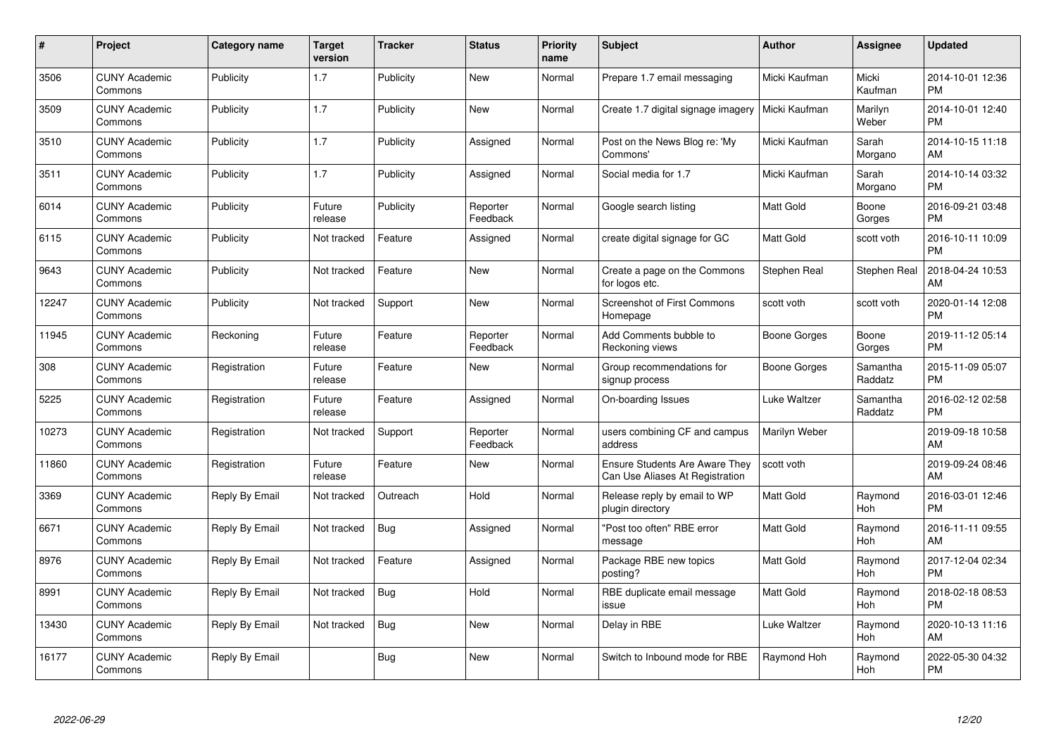| $\pmb{\#}$ | Project                         | <b>Category name</b> | Target<br>version | <b>Tracker</b> | <b>Status</b>        | <b>Priority</b><br>name | <b>Subject</b>                                                    | Author              | <b>Assignee</b>       | <b>Updated</b>                |
|------------|---------------------------------|----------------------|-------------------|----------------|----------------------|-------------------------|-------------------------------------------------------------------|---------------------|-----------------------|-------------------------------|
| 3506       | <b>CUNY Academic</b><br>Commons | Publicity            | 1.7               | Publicity      | <b>New</b>           | Normal                  | Prepare 1.7 email messaging                                       | Micki Kaufman       | Micki<br>Kaufman      | 2014-10-01 12:36<br><b>PM</b> |
| 3509       | <b>CUNY Academic</b><br>Commons | Publicity            | 1.7               | Publicity      | <b>New</b>           | Normal                  | Create 1.7 digital signage imagery                                | Micki Kaufman       | Marilyn<br>Weber      | 2014-10-01 12:40<br><b>PM</b> |
| 3510       | <b>CUNY Academic</b><br>Commons | Publicity            | 1.7               | Publicity      | Assigned             | Normal                  | Post on the News Blog re: 'My<br>Commons'                         | Micki Kaufman       | Sarah<br>Morgano      | 2014-10-15 11:18<br>AM        |
| 3511       | <b>CUNY Academic</b><br>Commons | Publicity            | 1.7               | Publicity      | Assigned             | Normal                  | Social media for 1.7                                              | Micki Kaufman       | Sarah<br>Morgano      | 2014-10-14 03:32<br><b>PM</b> |
| 6014       | <b>CUNY Academic</b><br>Commons | Publicity            | Future<br>release | Publicity      | Reporter<br>Feedback | Normal                  | Google search listing                                             | <b>Matt Gold</b>    | Boone<br>Gorges       | 2016-09-21 03:48<br><b>PM</b> |
| 6115       | <b>CUNY Academic</b><br>Commons | Publicity            | Not tracked       | Feature        | Assigned             | Normal                  | create digital signage for GC                                     | Matt Gold           | scott voth            | 2016-10-11 10:09<br><b>PM</b> |
| 9643       | <b>CUNY Academic</b><br>Commons | Publicity            | Not tracked       | Feature        | <b>New</b>           | Normal                  | Create a page on the Commons<br>for logos etc.                    | Stephen Real        | Stephen Real          | 2018-04-24 10:53<br>AM        |
| 12247      | <b>CUNY Academic</b><br>Commons | Publicity            | Not tracked       | Support        | <b>New</b>           | Normal                  | <b>Screenshot of First Commons</b><br>Homepage                    | scott voth          | scott voth            | 2020-01-14 12:08<br><b>PM</b> |
| 11945      | <b>CUNY Academic</b><br>Commons | Reckoning            | Future<br>release | Feature        | Reporter<br>Feedback | Normal                  | Add Comments bubble to<br>Reckoning views                         | <b>Boone Gorges</b> | Boone<br>Gorges       | 2019-11-12 05:14<br><b>PM</b> |
| 308        | <b>CUNY Academic</b><br>Commons | Registration         | Future<br>release | Feature        | <b>New</b>           | Normal                  | Group recommendations for<br>signup process                       | Boone Gorges        | Samantha<br>Raddatz   | 2015-11-09 05:07<br><b>PM</b> |
| 5225       | <b>CUNY Academic</b><br>Commons | Registration         | Future<br>release | Feature        | Assigned             | Normal                  | On-boarding Issues                                                | Luke Waltzer        | Samantha<br>Raddatz   | 2016-02-12 02:58<br><b>PM</b> |
| 10273      | <b>CUNY Academic</b><br>Commons | Registration         | Not tracked       | Support        | Reporter<br>Feedback | Normal                  | users combining CF and campus<br>address                          | Marilyn Weber       |                       | 2019-09-18 10:58<br>AM        |
| 11860      | <b>CUNY Academic</b><br>Commons | Registration         | Future<br>release | Feature        | <b>New</b>           | Normal                  | Ensure Students Are Aware They<br>Can Use Aliases At Registration | scott voth          |                       | 2019-09-24 08:46<br>AM        |
| 3369       | <b>CUNY Academic</b><br>Commons | Reply By Email       | Not tracked       | Outreach       | Hold                 | Normal                  | Release reply by email to WP<br>plugin directory                  | Matt Gold           | Raymond<br>Hoh        | 2016-03-01 12:46<br><b>PM</b> |
| 6671       | <b>CUNY Academic</b><br>Commons | Reply By Email       | Not tracked       | <b>Bug</b>     | Assigned             | Normal                  | 'Post too often" RBE error<br>message                             | <b>Matt Gold</b>    | Raymond<br>Hoh        | 2016-11-11 09:55<br>AM        |
| 8976       | <b>CUNY Academic</b><br>Commons | Reply By Email       | Not tracked       | Feature        | Assigned             | Normal                  | Package RBE new topics<br>posting?                                | <b>Matt Gold</b>    | Raymond<br><b>Hoh</b> | 2017-12-04 02:34<br><b>PM</b> |
| 8991       | <b>CUNY Academic</b><br>Commons | Reply By Email       | Not tracked       | Bug            | Hold                 | Normal                  | RBE duplicate email message<br>issue                              | <b>Matt Gold</b>    | Raymond<br><b>Hoh</b> | 2018-02-18 08:53<br><b>PM</b> |
| 13430      | <b>CUNY Academic</b><br>Commons | Reply By Email       | Not tracked       | <b>Bug</b>     | <b>New</b>           | Normal                  | Delay in RBE                                                      | Luke Waltzer        | Raymond<br>Hoh        | 2020-10-13 11:16<br>AM        |
| 16177      | CUNY Academic<br>Commons        | Reply By Email       |                   | Bug            | <b>New</b>           | Normal                  | Switch to Inbound mode for RBE                                    | Raymond Hoh         | Raymond<br>Hoh        | 2022-05-30 04:32<br><b>PM</b> |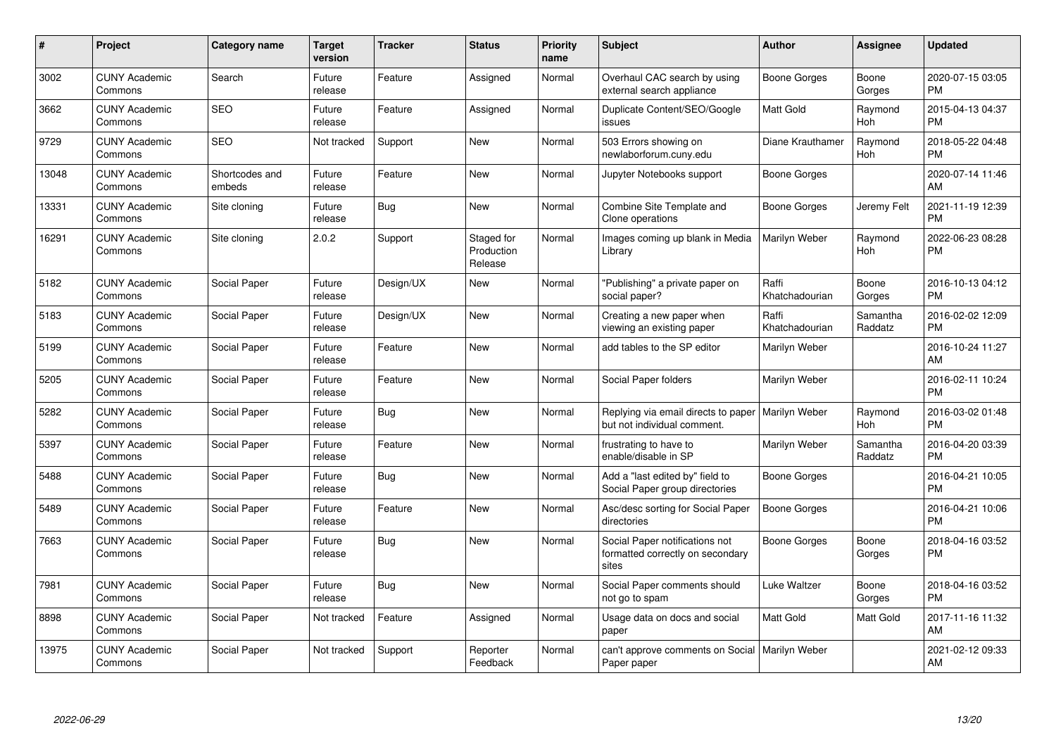| #     | Project                         | <b>Category name</b>     | <b>Target</b><br>version | <b>Tracker</b> | <b>Status</b>                       | <b>Priority</b><br>name | <b>Subject</b>                                                                     | <b>Author</b>           | Assignee            | <b>Updated</b>                |
|-------|---------------------------------|--------------------------|--------------------------|----------------|-------------------------------------|-------------------------|------------------------------------------------------------------------------------|-------------------------|---------------------|-------------------------------|
| 3002  | <b>CUNY Academic</b><br>Commons | Search                   | Future<br>release        | Feature        | Assigned                            | Normal                  | Overhaul CAC search by using<br>external search appliance                          | Boone Gorges            | Boone<br>Gorges     | 2020-07-15 03:05<br><b>PM</b> |
| 3662  | <b>CUNY Academic</b><br>Commons | <b>SEO</b>               | Future<br>release        | Feature        | Assigned                            | Normal                  | Duplicate Content/SEO/Google<br>issues                                             | Matt Gold               | Raymond<br>Hoh      | 2015-04-13 04:37<br><b>PM</b> |
| 9729  | <b>CUNY Academic</b><br>Commons | <b>SEO</b>               | Not tracked              | Support        | New                                 | Normal                  | 503 Errors showing on<br>newlaborforum.cuny.edu                                    | Diane Krauthamer        | Raymond<br>Hoh      | 2018-05-22 04:48<br><b>PM</b> |
| 13048 | <b>CUNY Academic</b><br>Commons | Shortcodes and<br>embeds | Future<br>release        | Feature        | New                                 | Normal                  | Jupyter Notebooks support                                                          | Boone Gorges            |                     | 2020-07-14 11:46<br>AM        |
| 13331 | <b>CUNY Academic</b><br>Commons | Site cloning             | Future<br>release        | Bug            | <b>New</b>                          | Normal                  | Combine Site Template and<br>Clone operations                                      | Boone Gorges            | Jeremy Felt         | 2021-11-19 12:39<br><b>PM</b> |
| 16291 | <b>CUNY Academic</b><br>Commons | Site cloning             | 2.0.2                    | Support        | Staged for<br>Production<br>Release | Normal                  | Images coming up blank in Media<br>Library                                         | Marilyn Weber           | Raymond<br>Hoh      | 2022-06-23 08:28<br><b>PM</b> |
| 5182  | <b>CUNY Academic</b><br>Commons | Social Paper             | Future<br>release        | Design/UX      | <b>New</b>                          | Normal                  | "Publishing" a private paper on<br>social paper?                                   | Raffi<br>Khatchadourian | Boone<br>Gorges     | 2016-10-13 04:12<br><b>PM</b> |
| 5183  | <b>CUNY Academic</b><br>Commons | Social Paper             | Future<br>release        | Design/UX      | <b>New</b>                          | Normal                  | Creating a new paper when<br>viewing an existing paper                             | Raffi<br>Khatchadourian | Samantha<br>Raddatz | 2016-02-02 12:09<br><b>PM</b> |
| 5199  | <b>CUNY Academic</b><br>Commons | Social Paper             | Future<br>release        | Feature        | <b>New</b>                          | Normal                  | add tables to the SP editor                                                        | Marilyn Weber           |                     | 2016-10-24 11:27<br>AM        |
| 5205  | <b>CUNY Academic</b><br>Commons | Social Paper             | Future<br>release        | Feature        | <b>New</b>                          | Normal                  | Social Paper folders                                                               | Marilyn Weber           |                     | 2016-02-11 10:24<br><b>PM</b> |
| 5282  | <b>CUNY Academic</b><br>Commons | Social Paper             | Future<br>release        | <b>Bug</b>     | New                                 | Normal                  | Replying via email directs to paper   Marilyn Weber<br>but not individual comment. |                         | Raymond<br>Hoh      | 2016-03-02 01:48<br><b>PM</b> |
| 5397  | <b>CUNY Academic</b><br>Commons | Social Paper             | Future<br>release        | Feature        | New                                 | Normal                  | frustrating to have to<br>enable/disable in SP                                     | Marilyn Weber           | Samantha<br>Raddatz | 2016-04-20 03:39<br><b>PM</b> |
| 5488  | <b>CUNY Academic</b><br>Commons | Social Paper             | Future<br>release        | Bug            | New                                 | Normal                  | Add a "last edited by" field to<br>Social Paper group directories                  | Boone Gorges            |                     | 2016-04-21 10:05<br><b>PM</b> |
| 5489  | <b>CUNY Academic</b><br>Commons | Social Paper             | Future<br>release        | Feature        | New                                 | Normal                  | Asc/desc sorting for Social Paper<br>directories                                   | Boone Gorges            |                     | 2016-04-21 10:06<br><b>PM</b> |
| 7663  | <b>CUNY Academic</b><br>Commons | Social Paper             | Future<br>release        | <b>Bug</b>     | <b>New</b>                          | Normal                  | Social Paper notifications not<br>formatted correctly on secondary<br>sites        | Boone Gorges            | Boone<br>Gorges     | 2018-04-16 03:52<br><b>PM</b> |
| 7981  | <b>CUNY Academic</b><br>Commons | Social Paper             | Future<br>release        | <b>Bug</b>     | <b>New</b>                          | Normal                  | Social Paper comments should<br>not go to spam                                     | <b>Luke Waltzer</b>     | Boone<br>Gorges     | 2018-04-16 03:52<br><b>PM</b> |
| 8898  | <b>CUNY Academic</b><br>Commons | Social Paper             | Not tracked              | Feature        | Assigned                            | Normal                  | Usage data on docs and social<br>paper                                             | Matt Gold               | Matt Gold           | 2017-11-16 11:32<br>AM        |
| 13975 | <b>CUNY Academic</b><br>Commons | Social Paper             | Not tracked              | Support        | Reporter<br>Feedback                | Normal                  | can't approve comments on Social<br>Paper paper                                    | Marilyn Weber           |                     | 2021-02-12 09:33<br>AM        |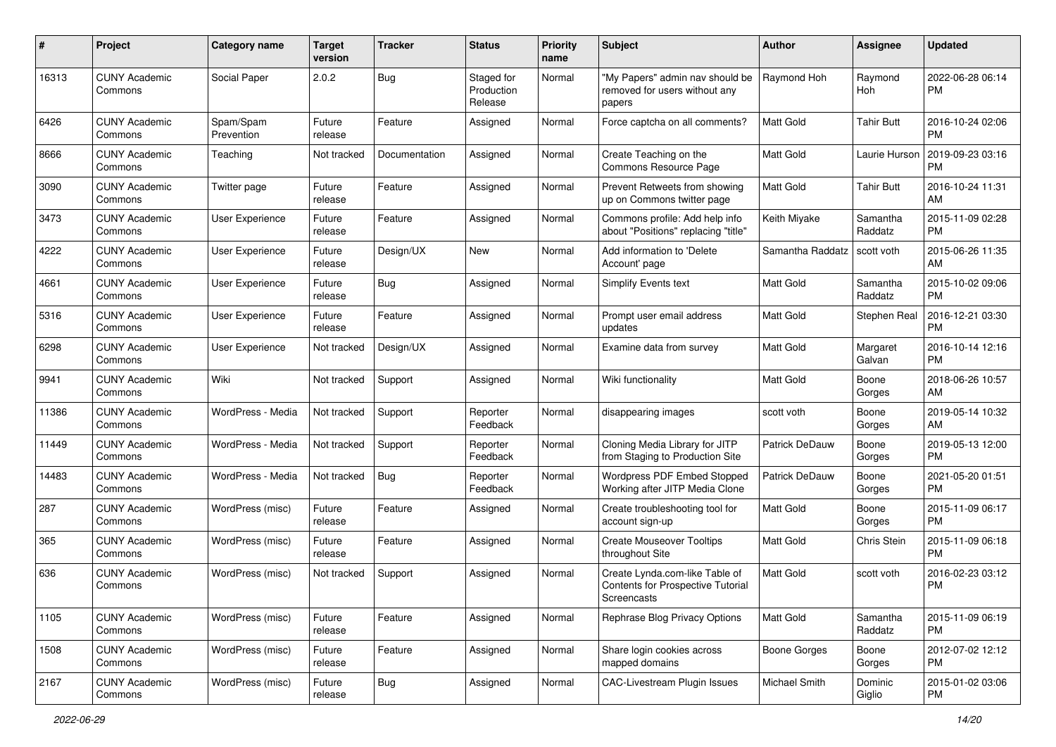| #     | Project                         | <b>Category name</b>    | <b>Target</b><br>version | <b>Tracker</b> | <b>Status</b>                       | <b>Priority</b><br>name | Subject                                                                                   | Author                | <b>Assignee</b>     | <b>Updated</b>                |
|-------|---------------------------------|-------------------------|--------------------------|----------------|-------------------------------------|-------------------------|-------------------------------------------------------------------------------------------|-----------------------|---------------------|-------------------------------|
| 16313 | <b>CUNY Academic</b><br>Commons | Social Paper            | 2.0.2                    | <b>Bug</b>     | Staged for<br>Production<br>Release | Normal                  | "My Papers" admin nav should be<br>removed for users without any<br>papers                | Raymond Hoh           | Raymond<br>Hoh      | 2022-06-28 06:14<br>PM        |
| 6426  | <b>CUNY Academic</b><br>Commons | Spam/Spam<br>Prevention | Future<br>release        | Feature        | Assigned                            | Normal                  | Force captcha on all comments?                                                            | <b>Matt Gold</b>      | <b>Tahir Butt</b>   | 2016-10-24 02:06<br>PM        |
| 8666  | <b>CUNY Academic</b><br>Commons | Teaching                | Not tracked              | Documentation  | Assigned                            | Normal                  | Create Teaching on the<br>Commons Resource Page                                           | Matt Gold             | Laurie Hurson       | 2019-09-23 03:16<br><b>PM</b> |
| 3090  | <b>CUNY Academic</b><br>Commons | Twitter page            | Future<br>release        | Feature        | Assigned                            | Normal                  | Prevent Retweets from showing<br>up on Commons twitter page                               | Matt Gold             | Tahir Butt          | 2016-10-24 11:31<br>AM        |
| 3473  | <b>CUNY Academic</b><br>Commons | User Experience         | Future<br>release        | Feature        | Assigned                            | Normal                  | Commons profile: Add help info<br>about "Positions" replacing "title"                     | Keith Miyake          | Samantha<br>Raddatz | 2015-11-09 02:28<br><b>PM</b> |
| 4222  | <b>CUNY Academic</b><br>Commons | User Experience         | Future<br>release        | Design/UX      | <b>New</b>                          | Normal                  | Add information to 'Delete<br>Account' page                                               | Samantha Raddatz      | scott voth          | 2015-06-26 11:35<br>AM        |
| 4661  | <b>CUNY Academic</b><br>Commons | User Experience         | Future<br>release        | <b>Bug</b>     | Assigned                            | Normal                  | <b>Simplify Events text</b>                                                               | Matt Gold             | Samantha<br>Raddatz | 2015-10-02 09:06<br><b>PM</b> |
| 5316  | <b>CUNY Academic</b><br>Commons | User Experience         | Future<br>release        | Feature        | Assigned                            | Normal                  | Prompt user email address<br>updates                                                      | Matt Gold             | Stephen Real        | 2016-12-21 03:30<br><b>PM</b> |
| 6298  | <b>CUNY Academic</b><br>Commons | User Experience         | Not tracked              | Design/UX      | Assigned                            | Normal                  | Examine data from survey                                                                  | <b>Matt Gold</b>      | Margaret<br>Galvan  | 2016-10-14 12:16<br>PM        |
| 9941  | <b>CUNY Academic</b><br>Commons | Wiki                    | Not tracked              | Support        | Assigned                            | Normal                  | Wiki functionality                                                                        | <b>Matt Gold</b>      | Boone<br>Gorges     | 2018-06-26 10:57<br>AM        |
| 11386 | <b>CUNY Academic</b><br>Commons | WordPress - Media       | Not tracked              | Support        | Reporter<br>Feedback                | Normal                  | disappearing images                                                                       | scott voth            | Boone<br>Gorges     | 2019-05-14 10:32<br>AM        |
| 11449 | <b>CUNY Academic</b><br>Commons | WordPress - Media       | Not tracked              | Support        | Reporter<br>Feedback                | Normal                  | Cloning Media Library for JITP<br>from Staging to Production Site                         | <b>Patrick DeDauw</b> | Boone<br>Gorges     | 2019-05-13 12:00<br><b>PM</b> |
| 14483 | <b>CUNY Academic</b><br>Commons | WordPress - Media       | Not tracked              | <b>Bug</b>     | Reporter<br>Feedback                | Normal                  | Wordpress PDF Embed Stopped<br>Working after JITP Media Clone                             | Patrick DeDauw        | Boone<br>Gorges     | 2021-05-20 01:51<br><b>PM</b> |
| 287   | <b>CUNY Academic</b><br>Commons | WordPress (misc)        | Future<br>release        | Feature        | Assigned                            | Normal                  | Create troubleshooting tool for<br>account sign-up                                        | Matt Gold             | Boone<br>Gorges     | 2015-11-09 06:17<br><b>PM</b> |
| 365   | <b>CUNY Academic</b><br>Commons | WordPress (misc)        | Future<br>release        | Feature        | Assigned                            | Normal                  | <b>Create Mouseover Tooltips</b><br>throughout Site                                       | Matt Gold             | Chris Stein         | 2015-11-09 06:18<br><b>PM</b> |
| 636   | <b>CUNY Academic</b><br>Commons | WordPress (misc)        | Not tracked              | Support        | Assigned                            | Normal                  | Create Lynda.com-like Table of<br><b>Contents for Prospective Tutorial</b><br>Screencasts | <b>Matt Gold</b>      | scott voth          | 2016-02-23 03:12<br><b>PM</b> |
| 1105  | <b>CUNY Academic</b><br>Commons | WordPress (misc)        | Future<br>release        | Feature        | Assigned                            | Normal                  | Rephrase Blog Privacy Options                                                             | Matt Gold             | Samantha<br>Raddatz | 2015-11-09 06:19<br>PM        |
| 1508  | <b>CUNY Academic</b><br>Commons | WordPress (misc)        | Future<br>release        | Feature        | Assigned                            | Normal                  | Share login cookies across<br>mapped domains                                              | <b>Boone Gorges</b>   | Boone<br>Gorges     | 2012-07-02 12:12<br>PM        |
| 2167  | <b>CUNY Academic</b><br>Commons | WordPress (misc)        | Future<br>release        | <b>Bug</b>     | Assigned                            | Normal                  | <b>CAC-Livestream Plugin Issues</b>                                                       | Michael Smith         | Dominic<br>Giglio   | 2015-01-02 03:06<br><b>PM</b> |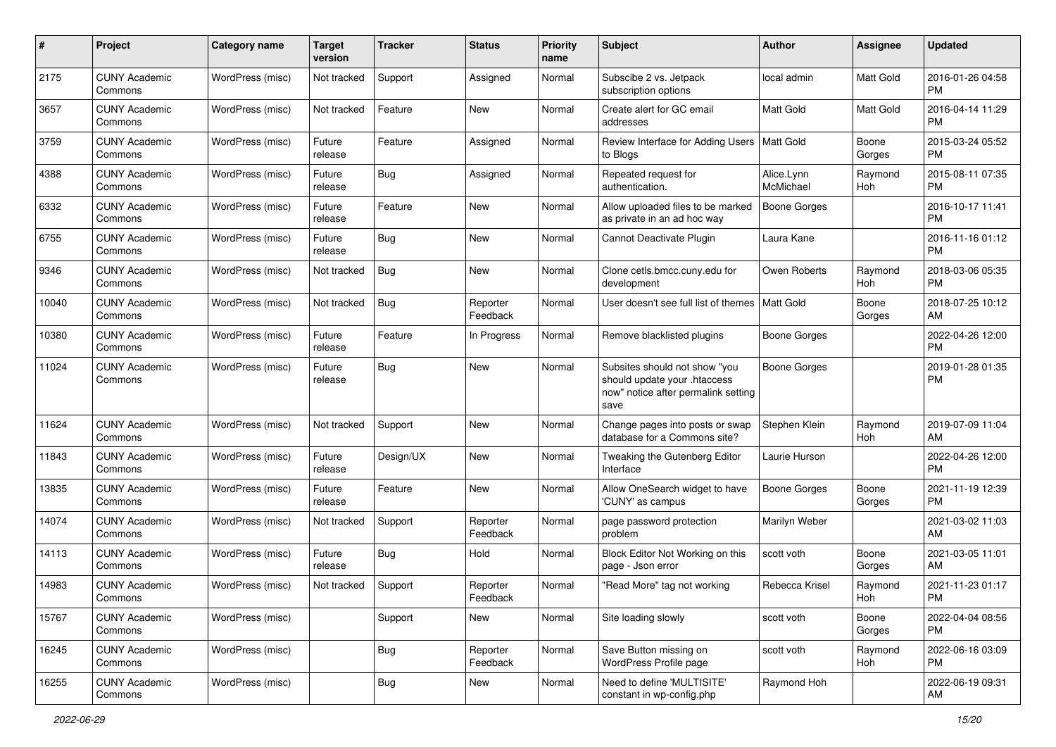| #     | Project                         | <b>Category name</b> | <b>Target</b><br>version | <b>Tracker</b> | <b>Status</b>        | <b>Priority</b><br>name | Subject                                                                                                      | Author                  | <b>Assignee</b> | <b>Updated</b>                |
|-------|---------------------------------|----------------------|--------------------------|----------------|----------------------|-------------------------|--------------------------------------------------------------------------------------------------------------|-------------------------|-----------------|-------------------------------|
| 2175  | <b>CUNY Academic</b><br>Commons | WordPress (misc)     | Not tracked              | Support        | Assigned             | Normal                  | Subscibe 2 vs. Jetpack<br>subscription options                                                               | local admin             | Matt Gold       | 2016-01-26 04:58<br><b>PM</b> |
| 3657  | <b>CUNY Academic</b><br>Commons | WordPress (misc)     | Not tracked              | Feature        | New                  | Normal                  | Create alert for GC email<br>addresses                                                                       | <b>Matt Gold</b>        | Matt Gold       | 2016-04-14 11:29<br><b>PM</b> |
| 3759  | <b>CUNY Academic</b><br>Commons | WordPress (misc)     | Future<br>release        | Feature        | Assigned             | Normal                  | Review Interface for Adding Users<br>to Blogs                                                                | <b>Matt Gold</b>        | Boone<br>Gorges | 2015-03-24 05:52<br><b>PM</b> |
| 4388  | <b>CUNY Academic</b><br>Commons | WordPress (misc)     | Future<br>release        | <b>Bug</b>     | Assigned             | Normal                  | Repeated request for<br>authentication.                                                                      | Alice.Lynn<br>McMichael | Raymond<br>Hoh  | 2015-08-11 07:35<br><b>PM</b> |
| 6332  | <b>CUNY Academic</b><br>Commons | WordPress (misc)     | Future<br>release        | Feature        | <b>New</b>           | Normal                  | Allow uploaded files to be marked<br>as private in an ad hoc way                                             | <b>Boone Gorges</b>     |                 | 2016-10-17 11:41<br><b>PM</b> |
| 6755  | <b>CUNY Academic</b><br>Commons | WordPress (misc)     | Future<br>release        | <b>Bug</b>     | <b>New</b>           | Normal                  | Cannot Deactivate Plugin                                                                                     | Laura Kane              |                 | 2016-11-16 01:12<br><b>PM</b> |
| 9346  | <b>CUNY Academic</b><br>Commons | WordPress (misc)     | Not tracked              | Bug            | New                  | Normal                  | Clone cetls.bmcc.cuny.edu for<br>development                                                                 | Owen Roberts            | Raymond<br>Hoh  | 2018-03-06 05:35<br><b>PM</b> |
| 10040 | <b>CUNY Academic</b><br>Commons | WordPress (misc)     | Not tracked              | <b>Bug</b>     | Reporter<br>Feedback | Normal                  | User doesn't see full list of themes                                                                         | Matt Gold               | Boone<br>Gorges | 2018-07-25 10:12<br>AM        |
| 10380 | <b>CUNY Academic</b><br>Commons | WordPress (misc)     | Future<br>release        | Feature        | In Progress          | Normal                  | Remove blacklisted plugins                                                                                   | <b>Boone Gorges</b>     |                 | 2022-04-26 12:00<br><b>PM</b> |
| 11024 | <b>CUNY Academic</b><br>Commons | WordPress (misc)     | Future<br>release        | <b>Bug</b>     | <b>New</b>           | Normal                  | Subsites should not show "you<br>should update your .htaccess<br>now" notice after permalink setting<br>save | <b>Boone Gorges</b>     |                 | 2019-01-28 01:35<br><b>PM</b> |
| 11624 | <b>CUNY Academic</b><br>Commons | WordPress (misc)     | Not tracked              | Support        | <b>New</b>           | Normal                  | Change pages into posts or swap<br>database for a Commons site?                                              | Stephen Klein           | Raymond<br>Hoh  | 2019-07-09 11:04<br>AM        |
| 11843 | <b>CUNY Academic</b><br>Commons | WordPress (misc)     | Future<br>release        | Design/UX      | <b>New</b>           | Normal                  | Tweaking the Gutenberg Editor<br>Interface                                                                   | Laurie Hurson           |                 | 2022-04-26 12:00<br><b>PM</b> |
| 13835 | <b>CUNY Academic</b><br>Commons | WordPress (misc)     | Future<br>release        | Feature        | <b>New</b>           | Normal                  | Allow OneSearch widget to have<br>'CUNY' as campus                                                           | Boone Gorges            | Boone<br>Gorges | 2021-11-19 12:39<br><b>PM</b> |
| 14074 | <b>CUNY Academic</b><br>Commons | WordPress (misc)     | Not tracked              | Support        | Reporter<br>Feedback | Normal                  | page password protection<br>problem                                                                          | Marilyn Weber           |                 | 2021-03-02 11:03<br>AM        |
| 14113 | <b>CUNY Academic</b><br>Commons | WordPress (misc)     | Future<br>release        | <b>Bug</b>     | Hold                 | Normal                  | Block Editor Not Working on this<br>page - Json error                                                        | scott voth              | Boone<br>Gorges | 2021-03-05 11:01<br>AM        |
| 14983 | <b>CUNY Academic</b><br>Commons | WordPress (misc)     | Not tracked              | Support        | Reporter<br>Feedback | Normal                  | "Read More" tag not working                                                                                  | Rebecca Krisel          | Raymond<br>Hoh  | 2021-11-23 01:17<br>PM        |
| 15767 | <b>CUNY Academic</b><br>Commons | WordPress (misc)     |                          | Support        | New                  | Normal                  | Site loading slowly                                                                                          | scott voth              | Boone<br>Gorges | 2022-04-04 08:56<br><b>PM</b> |
| 16245 | <b>CUNY Academic</b><br>Commons | WordPress (misc)     |                          | <b>Bug</b>     | Reporter<br>Feedback | Normal                  | Save Button missing on<br>WordPress Profile page                                                             | scott voth              | Raymond<br>Hoh  | 2022-06-16 03:09<br><b>PM</b> |
| 16255 | <b>CUNY Academic</b><br>Commons | WordPress (misc)     |                          | <b>Bug</b>     | New                  | Normal                  | Need to define 'MULTISITE'<br>constant in wp-config.php                                                      | Raymond Hoh             |                 | 2022-06-19 09:31<br>AM        |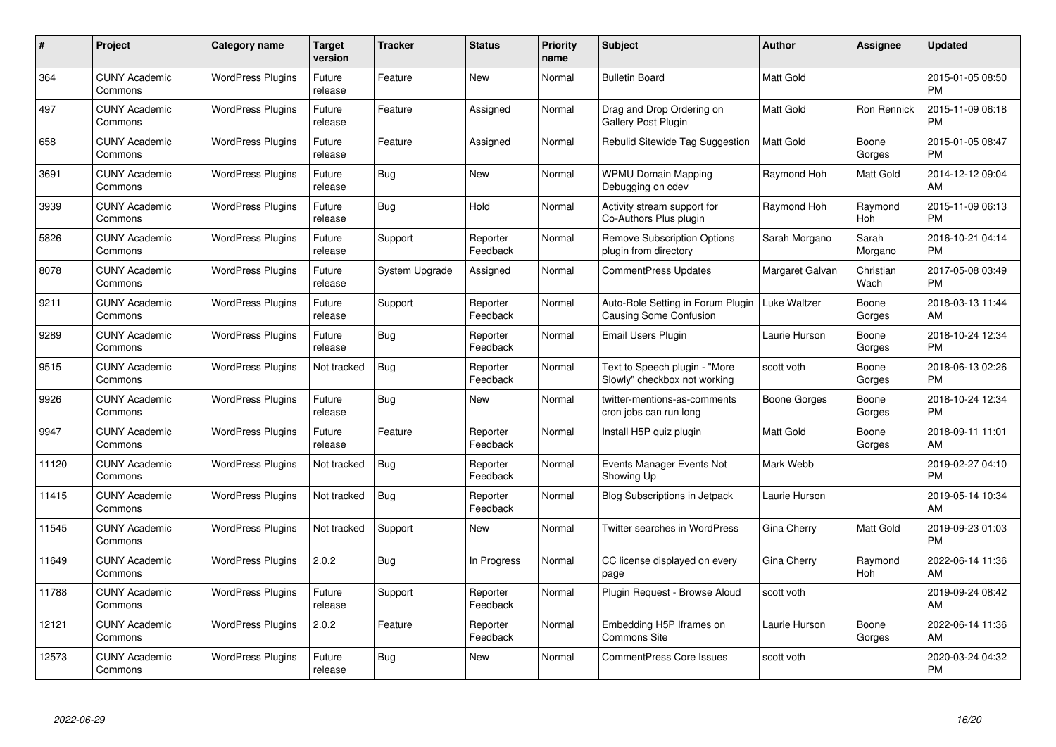| #     | Project                         | <b>Category name</b>     | Target<br>version | <b>Tracker</b> | <b>Status</b>        | <b>Priority</b><br>name | <b>Subject</b>                                                     | Author           | <b>Assignee</b>       | <b>Updated</b>                |
|-------|---------------------------------|--------------------------|-------------------|----------------|----------------------|-------------------------|--------------------------------------------------------------------|------------------|-----------------------|-------------------------------|
| 364   | <b>CUNY Academic</b><br>Commons | <b>WordPress Plugins</b> | Future<br>release | Feature        | <b>New</b>           | Normal                  | <b>Bulletin Board</b>                                              | <b>Matt Gold</b> |                       | 2015-01-05 08:50<br><b>PM</b> |
| 497   | <b>CUNY Academic</b><br>Commons | <b>WordPress Plugins</b> | Future<br>release | Feature        | Assigned             | Normal                  | Drag and Drop Ordering on<br>Gallery Post Plugin                   | <b>Matt Gold</b> | Ron Rennick           | 2015-11-09 06:18<br><b>PM</b> |
| 658   | <b>CUNY Academic</b><br>Commons | <b>WordPress Plugins</b> | Future<br>release | Feature        | Assigned             | Normal                  | Rebulid Sitewide Tag Suggestion                                    | <b>Matt Gold</b> | Boone<br>Gorges       | 2015-01-05 08:47<br><b>PM</b> |
| 3691  | <b>CUNY Academic</b><br>Commons | <b>WordPress Plugins</b> | Future<br>release | <b>Bug</b>     | <b>New</b>           | Normal                  | <b>WPMU Domain Mapping</b><br>Debugging on cdev                    | Raymond Hoh      | Matt Gold             | 2014-12-12 09:04<br>AM        |
| 3939  | <b>CUNY Academic</b><br>Commons | <b>WordPress Plugins</b> | Future<br>release | <b>Bug</b>     | Hold                 | Normal                  | Activity stream support for<br>Co-Authors Plus plugin              | Raymond Hoh      | Raymond<br><b>Hoh</b> | 2015-11-09 06:13<br><b>PM</b> |
| 5826  | <b>CUNY Academic</b><br>Commons | <b>WordPress Plugins</b> | Future<br>release | Support        | Reporter<br>Feedback | Normal                  | <b>Remove Subscription Options</b><br>plugin from directory        | Sarah Morgano    | Sarah<br>Morgano      | 2016-10-21 04:14<br><b>PM</b> |
| 8078  | <b>CUNY Academic</b><br>Commons | <b>WordPress Plugins</b> | Future<br>release | System Upgrade | Assigned             | Normal                  | <b>CommentPress Updates</b>                                        | Margaret Galvan  | Christian<br>Wach     | 2017-05-08 03:49<br><b>PM</b> |
| 9211  | <b>CUNY Academic</b><br>Commons | <b>WordPress Plugins</b> | Future<br>release | Support        | Reporter<br>Feedback | Normal                  | Auto-Role Setting in Forum Plugin<br><b>Causing Some Confusion</b> | Luke Waltzer     | Boone<br>Gorges       | 2018-03-13 11:44<br>AM        |
| 9289  | <b>CUNY Academic</b><br>Commons | <b>WordPress Plugins</b> | Future<br>release | <b>Bug</b>     | Reporter<br>Feedback | Normal                  | <b>Email Users Plugin</b>                                          | Laurie Hurson    | Boone<br>Gorges       | 2018-10-24 12:34<br><b>PM</b> |
| 9515  | <b>CUNY Academic</b><br>Commons | <b>WordPress Plugins</b> | Not tracked       | Bug            | Reporter<br>Feedback | Normal                  | Text to Speech plugin - "More<br>Slowly" checkbox not working      | scott voth       | Boone<br>Gorges       | 2018-06-13 02:26<br><b>PM</b> |
| 9926  | <b>CUNY Academic</b><br>Commons | <b>WordPress Plugins</b> | Future<br>release | <b>Bug</b>     | <b>New</b>           | Normal                  | twitter-mentions-as-comments<br>cron jobs can run long             | Boone Gorges     | Boone<br>Gorges       | 2018-10-24 12:34<br><b>PM</b> |
| 9947  | <b>CUNY Academic</b><br>Commons | <b>WordPress Plugins</b> | Future<br>release | Feature        | Reporter<br>Feedback | Normal                  | Install H5P quiz plugin                                            | <b>Matt Gold</b> | Boone<br>Gorges       | 2018-09-11 11:01<br>AM        |
| 11120 | <b>CUNY Academic</b><br>Commons | <b>WordPress Plugins</b> | Not tracked       | <b>Bug</b>     | Reporter<br>Feedback | Normal                  | Events Manager Events Not<br>Showing Up                            | Mark Webb        |                       | 2019-02-27 04:10<br><b>PM</b> |
| 11415 | <b>CUNY Academic</b><br>Commons | <b>WordPress Plugins</b> | Not tracked       | Bug            | Reporter<br>Feedback | Normal                  | <b>Blog Subscriptions in Jetpack</b>                               | Laurie Hurson    |                       | 2019-05-14 10:34<br>AM        |
| 11545 | <b>CUNY Academic</b><br>Commons | <b>WordPress Plugins</b> | Not tracked       | Support        | <b>New</b>           | Normal                  | Twitter searches in WordPress                                      | Gina Cherry      | <b>Matt Gold</b>      | 2019-09-23 01:03<br><b>PM</b> |
| 11649 | <b>CUNY Academic</b><br>Commons | <b>WordPress Plugins</b> | 2.0.2             | Bug            | In Progress          | Normal                  | CC license displayed on every<br>page                              | Gina Cherry      | Raymond<br>Hoh        | 2022-06-14 11:36<br>AM        |
| 11788 | <b>CUNY Academic</b><br>Commons | <b>WordPress Plugins</b> | Future<br>release | Support        | Reporter<br>Feedback | Normal                  | Plugin Request - Browse Aloud                                      | scott voth       |                       | 2019-09-24 08:42<br>AM        |
| 12121 | <b>CUNY Academic</b><br>Commons | <b>WordPress Plugins</b> | 2.0.2             | Feature        | Reporter<br>Feedback | Normal                  | Embedding H5P Iframes on<br><b>Commons Site</b>                    | Laurie Hurson    | Boone<br>Gorges       | 2022-06-14 11:36<br>AM        |
| 12573 | <b>CUNY Academic</b><br>Commons | <b>WordPress Plugins</b> | Future<br>release | Bug            | <b>New</b>           | Normal                  | <b>CommentPress Core Issues</b>                                    | scott voth       |                       | 2020-03-24 04:32<br>PM        |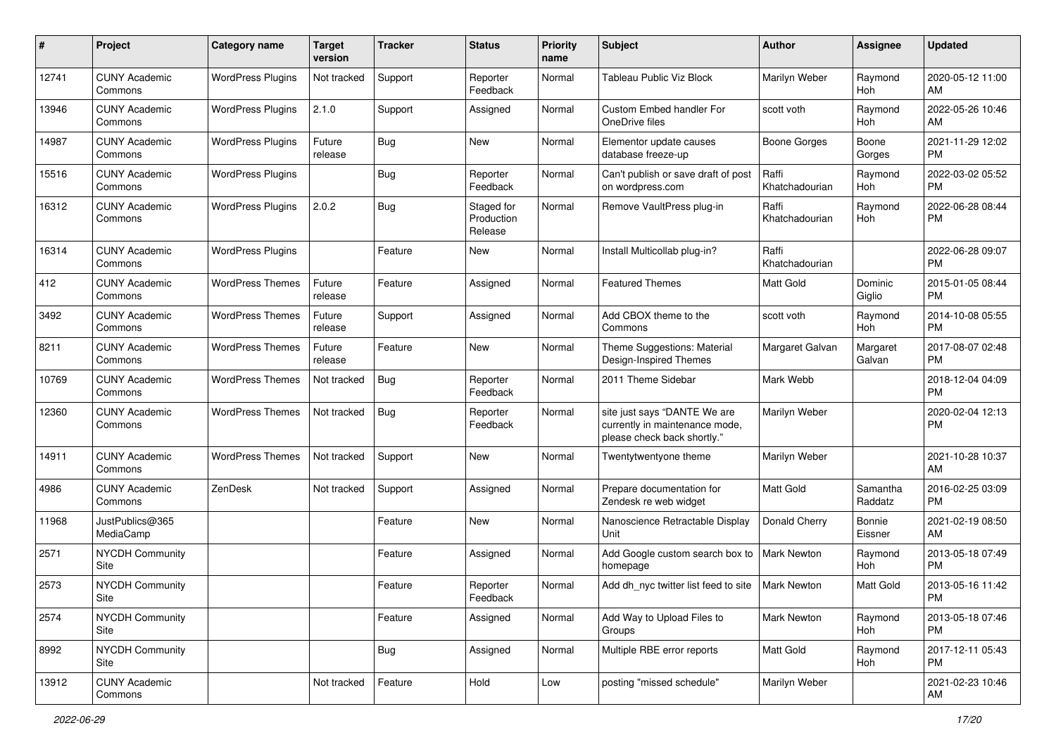| #     | Project                         | Category name            | <b>Target</b><br>version | <b>Tracker</b> | <b>Status</b>                       | <b>Priority</b><br>name | Subject                                                                                       | Author                  | <b>Assignee</b>     | <b>Updated</b>                |
|-------|---------------------------------|--------------------------|--------------------------|----------------|-------------------------------------|-------------------------|-----------------------------------------------------------------------------------------------|-------------------------|---------------------|-------------------------------|
| 12741 | <b>CUNY Academic</b><br>Commons | <b>WordPress Plugins</b> | Not tracked              | Support        | Reporter<br>Feedback                | Normal                  | <b>Tableau Public Viz Block</b>                                                               | Marilyn Weber           | Raymond<br>Hoh      | 2020-05-12 11:00<br>AM        |
| 13946 | <b>CUNY Academic</b><br>Commons | <b>WordPress Plugins</b> | 2.1.0                    | Support        | Assigned                            | Normal                  | Custom Embed handler For<br>OneDrive files                                                    | scott voth              | Raymond<br>Hoh      | 2022-05-26 10:46<br>AM        |
| 14987 | <b>CUNY Academic</b><br>Commons | <b>WordPress Plugins</b> | Future<br>release        | <b>Bug</b>     | New                                 | Normal                  | Elementor update causes<br>database freeze-up                                                 | Boone Gorges            | Boone<br>Gorges     | 2021-11-29 12:02<br><b>PM</b> |
| 15516 | <b>CUNY Academic</b><br>Commons | <b>WordPress Plugins</b> |                          | <b>Bug</b>     | Reporter<br>Feedback                | Normal                  | Can't publish or save draft of post<br>on wordpress.com                                       | Raffi<br>Khatchadourian | Raymond<br>Hoh      | 2022-03-02 05:52<br><b>PM</b> |
| 16312 | <b>CUNY Academic</b><br>Commons | <b>WordPress Plugins</b> | 2.0.2                    | <b>Bug</b>     | Staged for<br>Production<br>Release | Normal                  | Remove VaultPress plug-in                                                                     | Raffi<br>Khatchadourian | Raymond<br>Hoh      | 2022-06-28 08:44<br><b>PM</b> |
| 16314 | <b>CUNY Academic</b><br>Commons | <b>WordPress Plugins</b> |                          | Feature        | New                                 | Normal                  | Install Multicollab plug-in?                                                                  | Raffi<br>Khatchadourian |                     | 2022-06-28 09:07<br><b>PM</b> |
| 412   | <b>CUNY Academic</b><br>Commons | <b>WordPress Themes</b>  | Future<br>release        | Feature        | Assigned                            | Normal                  | <b>Featured Themes</b>                                                                        | <b>Matt Gold</b>        | Dominic<br>Giglio   | 2015-01-05 08:44<br><b>PM</b> |
| 3492  | <b>CUNY Academic</b><br>Commons | <b>WordPress Themes</b>  | Future<br>release        | Support        | Assigned                            | Normal                  | Add CBOX theme to the<br>Commons                                                              | scott voth              | Raymond<br>Hoh      | 2014-10-08 05:55<br><b>PM</b> |
| 8211  | <b>CUNY Academic</b><br>Commons | <b>WordPress Themes</b>  | Future<br>release        | Feature        | <b>New</b>                          | Normal                  | Theme Suggestions: Material<br>Design-Inspired Themes                                         | Margaret Galvan         | Margaret<br>Galvan  | 2017-08-07 02:48<br><b>PM</b> |
| 10769 | <b>CUNY Academic</b><br>Commons | <b>WordPress Themes</b>  | Not tracked              | <b>Bug</b>     | Reporter<br>Feedback                | Normal                  | 2011 Theme Sidebar                                                                            | Mark Webb               |                     | 2018-12-04 04:09<br><b>PM</b> |
| 12360 | <b>CUNY Academic</b><br>Commons | <b>WordPress Themes</b>  | Not tracked              | <b>Bug</b>     | Reporter<br>Feedback                | Normal                  | site just says "DANTE We are<br>currently in maintenance mode,<br>please check back shortly." | Marilyn Weber           |                     | 2020-02-04 12:13<br><b>PM</b> |
| 14911 | <b>CUNY Academic</b><br>Commons | <b>WordPress Themes</b>  | Not tracked              | Support        | <b>New</b>                          | Normal                  | Twentytwentyone theme                                                                         | Marilyn Weber           |                     | 2021-10-28 10:37<br>AM        |
| 4986  | <b>CUNY Academic</b><br>Commons | ZenDesk                  | Not tracked              | Support        | Assigned                            | Normal                  | Prepare documentation for<br>Zendesk re web widget                                            | <b>Matt Gold</b>        | Samantha<br>Raddatz | 2016-02-25 03:09<br><b>PM</b> |
| 11968 | JustPublics@365<br>MediaCamp    |                          |                          | Feature        | <b>New</b>                          | Normal                  | Nanoscience Retractable Display<br>Unit                                                       | Donald Cherry           | Bonnie<br>Eissner   | 2021-02-19 08:50<br>AM        |
| 2571  | <b>NYCDH Community</b><br>Site  |                          |                          | Feature        | Assigned                            | Normal                  | Add Google custom search box to<br>homepage                                                   | <b>Mark Newton</b>      | Raymond<br>Hoh      | 2013-05-18 07:49<br><b>PM</b> |
| 2573  | <b>NYCDH Community</b><br>Site  |                          |                          | Feature        | Reporter<br>Feedback                | Normal                  | Add dh nyc twitter list feed to site                                                          | <b>Mark Newton</b>      | <b>Matt Gold</b>    | 2013-05-16 11:42<br>PM        |
| 2574  | <b>NYCDH Community</b><br>Site  |                          |                          | Feature        | Assigned                            | Normal                  | Add Way to Upload Files to<br>Groups                                                          | <b>Mark Newton</b>      | Raymond<br>Hoh      | 2013-05-18 07:46<br><b>PM</b> |
| 8992  | NYCDH Community<br>Site         |                          |                          | <b>Bug</b>     | Assigned                            | Normal                  | Multiple RBE error reports                                                                    | Matt Gold               | Raymond<br>Hoh      | 2017-12-11 05:43<br><b>PM</b> |
| 13912 | <b>CUNY Academic</b><br>Commons |                          | Not tracked              | Feature        | Hold                                | Low                     | posting "missed schedule"                                                                     | Marilyn Weber           |                     | 2021-02-23 10:46<br>AM        |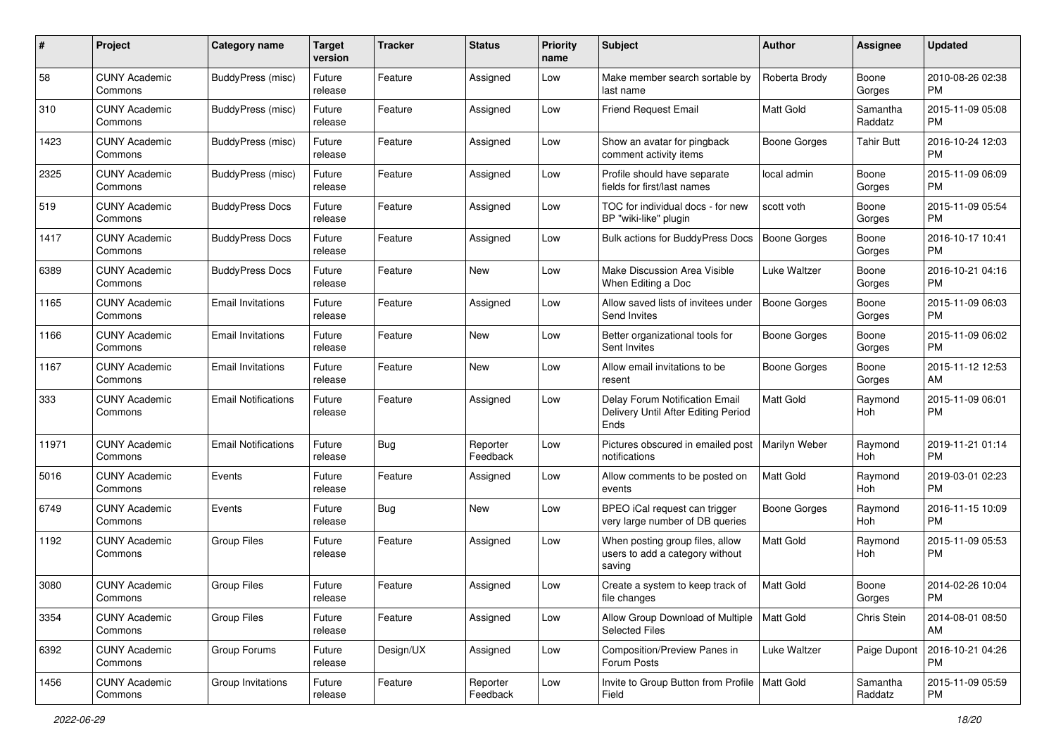| #     | Project                         | <b>Category name</b>       | Target<br>version | <b>Tracker</b> | <b>Status</b>        | <b>Priority</b><br>name | Subject                                                                       | <b>Author</b>       | <b>Assignee</b>     | <b>Updated</b>                |
|-------|---------------------------------|----------------------------|-------------------|----------------|----------------------|-------------------------|-------------------------------------------------------------------------------|---------------------|---------------------|-------------------------------|
| 58    | <b>CUNY Academic</b><br>Commons | BuddyPress (misc)          | Future<br>release | Feature        | Assigned             | Low                     | Make member search sortable by<br>last name                                   | Roberta Brody       | Boone<br>Gorges     | 2010-08-26 02:38<br><b>PM</b> |
| 310   | <b>CUNY Academic</b><br>Commons | <b>BuddyPress (misc)</b>   | Future<br>release | Feature        | Assigned             | Low                     | Friend Request Email                                                          | Matt Gold           | Samantha<br>Raddatz | 2015-11-09 05:08<br><b>PM</b> |
| 1423  | CUNY Academic<br>Commons        | BuddyPress (misc)          | Future<br>release | Feature        | Assigned             | Low                     | Show an avatar for pingback<br>comment activity items                         | <b>Boone Gorges</b> | Tahir Butt          | 2016-10-24 12:03<br><b>PM</b> |
| 2325  | <b>CUNY Academic</b><br>Commons | BuddyPress (misc)          | Future<br>release | Feature        | Assigned             | Low                     | Profile should have separate<br>fields for first/last names                   | local admin         | Boone<br>Gorges     | 2015-11-09 06:09<br><b>PM</b> |
| 519   | <b>CUNY Academic</b><br>Commons | <b>BuddyPress Docs</b>     | Future<br>release | Feature        | Assigned             | Low                     | TOC for individual docs - for new<br>BP "wiki-like" plugin                    | scott voth          | Boone<br>Gorges     | 2015-11-09 05:54<br><b>PM</b> |
| 1417  | <b>CUNY Academic</b><br>Commons | <b>BuddyPress Docs</b>     | Future<br>release | Feature        | Assigned             | Low                     | Bulk actions for BuddyPress Docs                                              | <b>Boone Gorges</b> | Boone<br>Gorges     | 2016-10-17 10:41<br><b>PM</b> |
| 6389  | <b>CUNY Academic</b><br>Commons | <b>BuddyPress Docs</b>     | Future<br>release | Feature        | <b>New</b>           | Low                     | Make Discussion Area Visible<br>When Editing a Doc                            | Luke Waltzer        | Boone<br>Gorges     | 2016-10-21 04:16<br><b>PM</b> |
| 1165  | <b>CUNY Academic</b><br>Commons | <b>Email Invitations</b>   | Future<br>release | Feature        | Assigned             | Low                     | Allow saved lists of invitees under<br>Send Invites                           | <b>Boone Gorges</b> | Boone<br>Gorges     | 2015-11-09 06:03<br><b>PM</b> |
| 1166  | <b>CUNY Academic</b><br>Commons | <b>Email Invitations</b>   | Future<br>release | Feature        | New                  | Low                     | Better organizational tools for<br>Sent Invites                               | <b>Boone Gorges</b> | Boone<br>Gorges     | 2015-11-09 06:02<br><b>PM</b> |
| 1167  | CUNY Academic<br>Commons        | <b>Email Invitations</b>   | Future<br>release | Feature        | New                  | Low                     | Allow email invitations to be<br>resent                                       | <b>Boone Gorges</b> | Boone<br>Gorges     | 2015-11-12 12:53<br>AM        |
| 333   | <b>CUNY Academic</b><br>Commons | <b>Email Notifications</b> | Future<br>release | Feature        | Assigned             | Low                     | Delay Forum Notification Email<br>Delivery Until After Editing Period<br>Ends | <b>Matt Gold</b>    | Raymond<br>Hoh      | 2015-11-09 06:01<br><b>PM</b> |
| 11971 | <b>CUNY Academic</b><br>Commons | <b>Email Notifications</b> | Future<br>release | Bug            | Reporter<br>Feedback | Low                     | Pictures obscured in emailed post<br>notifications                            | Marilyn Weber       | Raymond<br>Hoh      | 2019-11-21 01:14<br><b>PM</b> |
| 5016  | <b>CUNY Academic</b><br>Commons | Events                     | Future<br>release | Feature        | Assigned             | Low                     | Allow comments to be posted on<br>events                                      | <b>Matt Gold</b>    | Raymond<br>Hoh      | 2019-03-01 02:23<br><b>PM</b> |
| 6749  | <b>CUNY Academic</b><br>Commons | Events                     | Future<br>release | Bug            | New                  | Low                     | BPEO iCal request can trigger<br>very large number of DB queries              | <b>Boone Gorges</b> | Raymond<br>Hoh      | 2016-11-15 10:09<br><b>PM</b> |
| 1192  | CUNY Academic<br>Commons        | <b>Group Files</b>         | Future<br>release | Feature        | Assigned             | Low                     | When posting group files, allow<br>users to add a category without<br>saving  | <b>Matt Gold</b>    | Raymond<br>Hoh      | 2015-11-09 05:53<br><b>PM</b> |
| 3080  | <b>CUNY Academic</b><br>Commons | Group Files                | Future<br>release | Feature        | Assigned             | Low                     | Create a system to keep track of<br>file changes                              | Matt Gold           | Boone<br>Gorges     | 2014-02-26 10:04<br><b>PM</b> |
| 3354  | <b>CUNY Academic</b><br>Commons | <b>Group Files</b>         | Future<br>release | Feature        | Assigned             | Low                     | Allow Group Download of Multiple   Matt Gold<br>Selected Files                |                     | Chris Stein         | 2014-08-01 08:50<br>AM        |
| 6392  | <b>CUNY Academic</b><br>Commons | Group Forums               | Future<br>release | Design/UX      | Assigned             | Low                     | Composition/Preview Panes in<br>Forum Posts                                   | Luke Waltzer        | Paige Dupont        | 2016-10-21 04:26<br><b>PM</b> |
| 1456  | <b>CUNY Academic</b><br>Commons | Group Invitations          | Future<br>release | Feature        | Reporter<br>Feedback | Low                     | Invite to Group Button from Profile   Matt Gold<br>Field                      |                     | Samantha<br>Raddatz | 2015-11-09 05:59<br><b>PM</b> |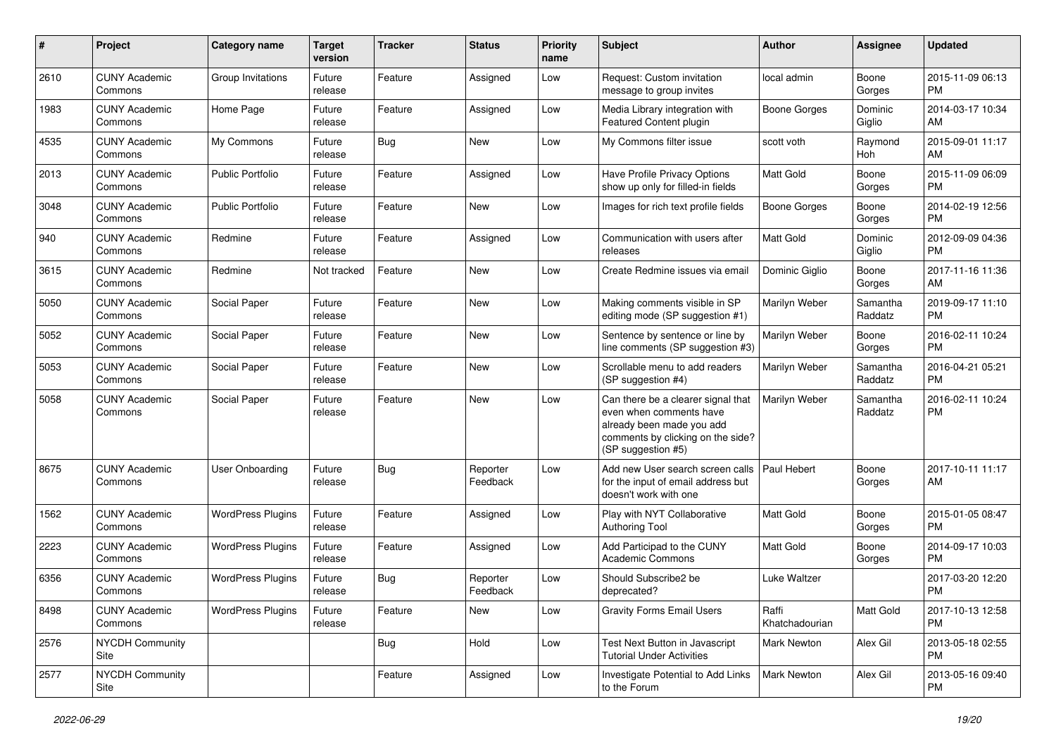| #    | Project                         | Category name            | <b>Target</b><br>version | <b>Tracker</b> | <b>Status</b>        | <b>Priority</b><br>name | Subject                                                                                                                                               | <b>Author</b>           | <b>Assignee</b>     | <b>Updated</b>                |
|------|---------------------------------|--------------------------|--------------------------|----------------|----------------------|-------------------------|-------------------------------------------------------------------------------------------------------------------------------------------------------|-------------------------|---------------------|-------------------------------|
| 2610 | <b>CUNY Academic</b><br>Commons | Group Invitations        | Future<br>release        | Feature        | Assigned             | Low                     | Request: Custom invitation<br>message to group invites                                                                                                | local admin             | Boone<br>Gorges     | 2015-11-09 06:13<br><b>PM</b> |
| 1983 | <b>CUNY Academic</b><br>Commons | Home Page                | Future<br>release        | Feature        | Assigned             | Low                     | Media Library integration with<br>Featured Content plugin                                                                                             | <b>Boone Gorges</b>     | Dominic<br>Giglio   | 2014-03-17 10:34<br>AM        |
| 4535 | <b>CUNY Academic</b><br>Commons | My Commons               | Future<br>release        | <b>Bug</b>     | New                  | Low                     | My Commons filter issue                                                                                                                               | scott voth              | Raymond<br>Hoh      | 2015-09-01 11:17<br>AM        |
| 2013 | <b>CUNY Academic</b><br>Commons | <b>Public Portfolio</b>  | Future<br>release        | Feature        | Assigned             | Low                     | Have Profile Privacy Options<br>show up only for filled-in fields                                                                                     | Matt Gold               | Boone<br>Gorges     | 2015-11-09 06:09<br><b>PM</b> |
| 3048 | <b>CUNY Academic</b><br>Commons | <b>Public Portfolio</b>  | Future<br>release        | Feature        | New                  | Low                     | Images for rich text profile fields                                                                                                                   | Boone Gorges            | Boone<br>Gorges     | 2014-02-19 12:56<br><b>PM</b> |
| 940  | <b>CUNY Academic</b><br>Commons | Redmine                  | Future<br>release        | Feature        | Assigned             | Low                     | Communication with users after<br>releases                                                                                                            | <b>Matt Gold</b>        | Dominic<br>Giglio   | 2012-09-09 04:36<br><b>PM</b> |
| 3615 | <b>CUNY Academic</b><br>Commons | Redmine                  | Not tracked              | Feature        | <b>New</b>           | Low                     | Create Redmine issues via email                                                                                                                       | Dominic Giglio          | Boone<br>Gorges     | 2017-11-16 11:36<br>AM        |
| 5050 | <b>CUNY Academic</b><br>Commons | Social Paper             | Future<br>release        | Feature        | <b>New</b>           | Low                     | Making comments visible in SP<br>editing mode (SP suggestion #1)                                                                                      | Marilyn Weber           | Samantha<br>Raddatz | 2019-09-17 11:10<br><b>PM</b> |
| 5052 | <b>CUNY Academic</b><br>Commons | Social Paper             | Future<br>release        | Feature        | New                  | Low                     | Sentence by sentence or line by<br>line comments (SP suggestion #3)                                                                                   | Marilyn Weber           | Boone<br>Gorges     | 2016-02-11 10:24<br><b>PM</b> |
| 5053 | <b>CUNY Academic</b><br>Commons | Social Paper             | Future<br>release        | Feature        | New                  | Low                     | Scrollable menu to add readers<br>(SP suggestion #4)                                                                                                  | Marilyn Weber           | Samantha<br>Raddatz | 2016-04-21 05:21<br><b>PM</b> |
| 5058 | <b>CUNY Academic</b><br>Commons | Social Paper             | Future<br>release        | Feature        | <b>New</b>           | Low                     | Can there be a clearer signal that<br>even when comments have<br>already been made you add<br>comments by clicking on the side?<br>(SP suggestion #5) | Marilyn Weber           | Samantha<br>Raddatz | 2016-02-11 10:24<br><b>PM</b> |
| 8675 | <b>CUNY Academic</b><br>Commons | <b>User Onboarding</b>   | Future<br>release        | <b>Bug</b>     | Reporter<br>Feedback | Low                     | Add new User search screen calls<br>for the input of email address but<br>doesn't work with one                                                       | Paul Hebert             | Boone<br>Gorges     | 2017-10-11 11:17<br>AM        |
| 1562 | <b>CUNY Academic</b><br>Commons | <b>WordPress Plugins</b> | Future<br>release        | Feature        | Assigned             | Low                     | Play with NYT Collaborative<br><b>Authoring Tool</b>                                                                                                  | <b>Matt Gold</b>        | Boone<br>Gorges     | 2015-01-05 08:47<br><b>PM</b> |
| 2223 | <b>CUNY Academic</b><br>Commons | <b>WordPress Plugins</b> | Future<br>release        | Feature        | Assigned             | Low                     | Add Participad to the CUNY<br><b>Academic Commons</b>                                                                                                 | <b>Matt Gold</b>        | Boone<br>Gorges     | 2014-09-17 10:03<br><b>PM</b> |
| 6356 | <b>CUNY Academic</b><br>Commons | <b>WordPress Plugins</b> | Future<br>release        | <b>Bug</b>     | Reporter<br>Feedback | Low                     | Should Subscribe2 be<br>deprecated?                                                                                                                   | Luke Waltzer            |                     | 2017-03-20 12:20<br><b>PM</b> |
| 8498 | <b>CUNY Academic</b><br>Commons | <b>WordPress Plugins</b> | Future<br>release        | Feature        | New                  | Low                     | <b>Gravity Forms Email Users</b>                                                                                                                      | Raffi<br>Khatchadourian | Matt Gold           | 2017-10-13 12:58<br><b>PM</b> |
| 2576 | NYCDH Community<br>Site         |                          |                          | Bug            | Hold                 | Low                     | Test Next Button in Javascript<br><b>Tutorial Under Activities</b>                                                                                    | <b>Mark Newton</b>      | Alex Gil            | 2013-05-18 02:55<br><b>PM</b> |
| 2577 | NYCDH Community<br>Site         |                          |                          | Feature        | Assigned             | Low                     | Investigate Potential to Add Links<br>to the Forum                                                                                                    | Mark Newton             | Alex Gil            | 2013-05-16 09:40<br><b>PM</b> |